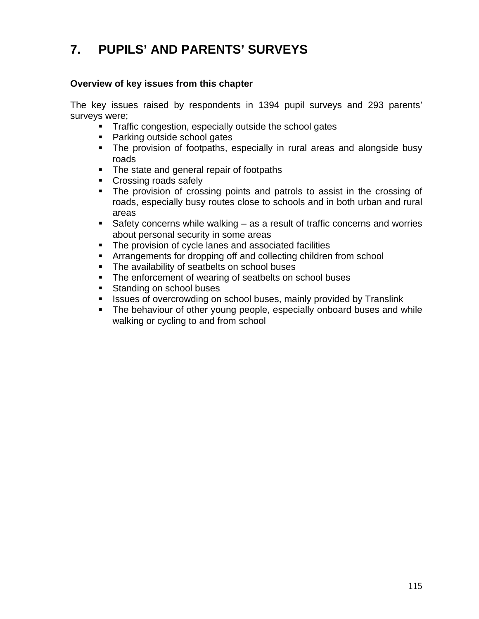# **7. PUPILS' AND PARENTS' SURVEYS**

### **Overview of key issues from this chapter**

The key issues raised by respondents in 1394 pupil surveys and 293 parents' surveys were;

- **Traffic congestion, especially outside the school gates** 
	- Parking outside school gates
	- The provision of footpaths, especially in rural areas and alongside busy roads
	- The state and general repair of footpaths
	- Crossing roads safely
	- The provision of crossing points and patrols to assist in the crossing of roads, especially busy routes close to schools and in both urban and rural areas
	- Safety concerns while walking as a result of traffic concerns and worries about personal security in some areas
	- The provision of cycle lanes and associated facilities
	- Arrangements for dropping off and collecting children from school
	- **The availability of seatbelts on school buses**
	- The enforcement of wearing of seatbelts on school buses
	- **Standing on school buses**
	- Issues of overcrowding on school buses, mainly provided by Translink
	- The behaviour of other young people, especially onboard buses and while walking or cycling to and from school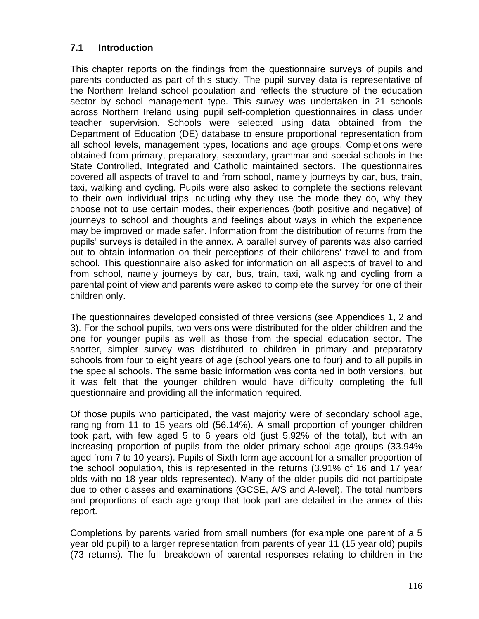# **7.1 Introduction**

This chapter reports on the findings from the questionnaire surveys of pupils and parents conducted as part of this study. The pupil survey data is representative of the Northern Ireland school population and reflects the structure of the education sector by school management type. This survey was undertaken in 21 schools across Northern Ireland using pupil self-completion questionnaires in class under teacher supervision. Schools were selected using data obtained from the Department of Education (DE) database to ensure proportional representation from all school levels, management types, locations and age groups. Completions were obtained from primary, preparatory, secondary, grammar and special schools in the State Controlled, Integrated and Catholic maintained sectors. The questionnaires covered all aspects of travel to and from school, namely journeys by car, bus, train, taxi, walking and cycling. Pupils were also asked to complete the sections relevant to their own individual trips including why they use the mode they do, why they choose not to use certain modes, their experiences (both positive and negative) of journeys to school and thoughts and feelings about ways in which the experience may be improved or made safer. Information from the distribution of returns from the pupils' surveys is detailed in the annex. A parallel survey of parents was also carried out to obtain information on their perceptions of their childrens' travel to and from school. This questionnaire also asked for information on all aspects of travel to and from school, namely journeys by car, bus, train, taxi, walking and cycling from a parental point of view and parents were asked to complete the survey for one of their children only.

The questionnaires developed consisted of three versions (see Appendices 1, 2 and 3). For the school pupils, two versions were distributed for the older children and the one for younger pupils as well as those from the special education sector. The shorter, simpler survey was distributed to children in primary and preparatory schools from four to eight years of age (school years one to four) and to all pupils in the special schools. The same basic information was contained in both versions, but it was felt that the younger children would have difficulty completing the full questionnaire and providing all the information required.

Of those pupils who participated, the vast majority were of secondary school age, ranging from 11 to 15 years old (56.14%). A small proportion of younger children took part, with few aged 5 to 6 years old (just 5.92% of the total), but with an increasing proportion of pupils from the older primary school age groups (33.94% aged from 7 to 10 years). Pupils of Sixth form age account for a smaller proportion of the school population, this is represented in the returns (3.91% of 16 and 17 year olds with no 18 year olds represented). Many of the older pupils did not participate due to other classes and examinations (GCSE, A/S and A-level). The total numbers and proportions of each age group that took part are detailed in the annex of this report.

Completions by parents varied from small numbers (for example one parent of a 5 year old pupil) to a larger representation from parents of year 11 (15 year old) pupils (73 returns). The full breakdown of parental responses relating to children in the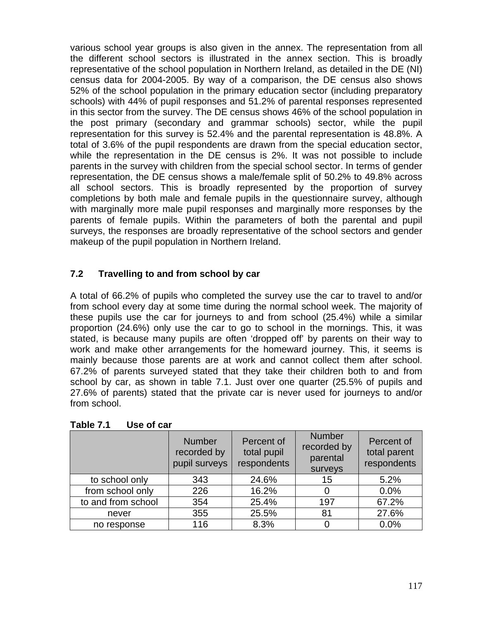various school year groups is also given in the annex. The representation from all the different school sectors is illustrated in the annex section. This is broadly representative of the school population in Northern Ireland, as detailed in the DE (NI) census data for 2004-2005. By way of a comparison, the DE census also shows 52% of the school population in the primary education sector (including preparatory schools) with 44% of pupil responses and 51.2% of parental responses represented in this sector from the survey. The DE census shows 46% of the school population in the post primary (secondary and grammar schools) sector, while the pupil representation for this survey is 52.4% and the parental representation is 48.8%. A total of 3.6% of the pupil respondents are drawn from the special education sector, while the representation in the DE census is 2%. It was not possible to include parents in the survey with children from the special school sector. In terms of gender representation, the DE census shows a male/female split of 50.2% to 49.8% across all school sectors. This is broadly represented by the proportion of survey completions by both male and female pupils in the questionnaire survey, although with marginally more male pupil responses and marginally more responses by the parents of female pupils. Within the parameters of both the parental and pupil surveys, the responses are broadly representative of the school sectors and gender makeup of the pupil population in Northern Ireland.

# **7.2 Travelling to and from school by car**

A total of 66.2% of pupils who completed the survey use the car to travel to and/or from school every day at some time during the normal school week. The majority of these pupils use the car for journeys to and from school (25.4%) while a similar proportion (24.6%) only use the car to go to school in the mornings. This, it was stated, is because many pupils are often 'dropped off' by parents on their way to work and make other arrangements for the homeward journey. This, it seems is mainly because those parents are at work and cannot collect them after school. 67.2% of parents surveyed stated that they take their children both to and from school by car, as shown in table 7.1. Just over one quarter (25.5% of pupils and 27.6% of parents) stated that the private car is never used for journeys to and/or from school.

|                    | <b>Number</b><br>recorded by<br>pupil surveys | Percent of<br>total pupil<br>respondents | <b>Number</b><br>recorded by<br>parental<br>surveys | Percent of<br>total parent<br>respondents |
|--------------------|-----------------------------------------------|------------------------------------------|-----------------------------------------------------|-------------------------------------------|
| to school only     | 343                                           | 24.6%                                    | 15                                                  | 5.2%                                      |
| from school only   | 226                                           | 16.2%                                    | 0                                                   | 0.0%                                      |
| to and from school | 354                                           | 25.4%                                    | 197                                                 | 67.2%                                     |
| never              | 355                                           | 25.5%                                    | 81                                                  | 27.6%                                     |
| no response        | 116                                           | 8.3%                                     |                                                     | 0.0%                                      |

**Table 7.1 Use of car**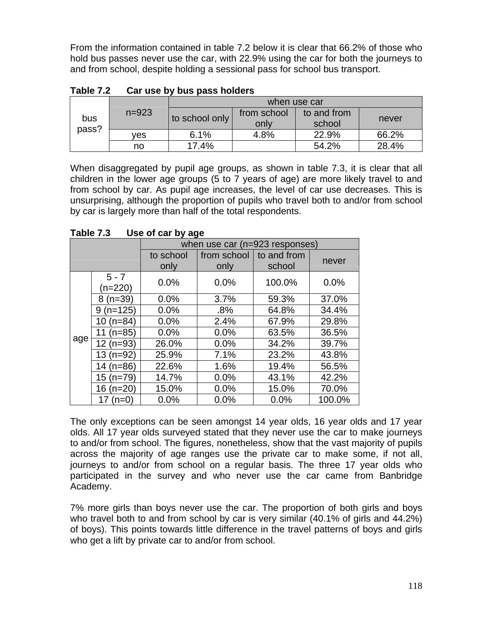From the information contained in table 7.2 below it is clear that 66.2% of those who hold bus passes never use the car, with 22.9% using the car for both the journeys to and from school, despite holding a sessional pass for school bus transport.

|              |           | when use car   |                     |                       |       |  |
|--------------|-----------|----------------|---------------------|-----------------------|-------|--|
| bus<br>pass? | $n = 923$ | to school only | from school<br>only | to and from<br>school | never |  |
|              | ves       | 6.1%           | 4.8%                | 22.9%                 | 66.2% |  |
|              | no        | 17.4%          |                     | 54.2%                 | 28.4% |  |

**Table 7.2 Car use by bus pass holders** 

When disaggregated by pupil age groups, as shown in table 7.3, it is clear that all children in the lower age groups (5 to 7 years of age) are more likely travel to and from school by car. As pupil age increases, the level of car use decreases. This is unsurprising, although the proportion of pupils who travel both to and/or from school by car is largely more than half of the total respondents.

|     |                    | when use car (n=923 responses) |                     |                       |        |
|-----|--------------------|--------------------------------|---------------------|-----------------------|--------|
|     |                    | to school<br>only              | from school<br>only | to and from<br>school | never  |
|     | $5 - 7$<br>(n=220) | 0.0%                           | 0.0%                | 100.0%                | 0.0%   |
|     | $8(n=39)$          | 0.0%                           | 3.7%                | 59.3%                 | 37.0%  |
|     | $9(n=125)$         | 0.0%                           | .8%                 | 64.8%                 | 34.4%  |
|     | $10(n=84)$         | 0.0%                           | 2.4%                | 67.9%                 | 29.8%  |
|     | 11 $(n=85)$        | 0.0%                           | 0.0%                | 63.5%                 | 36.5%  |
| age | 12 (n=93)          | 26.0%                          | 0.0%                | 34.2%                 | 39.7%  |
|     | $13(n=92)$         | 25.9%                          | 7.1%                | 23.2%                 | 43.8%  |
|     | 14 $(n=86)$        | 22.6%                          | 1.6%                | 19.4%                 | 56.5%  |
|     | 15 (n=79)          | 14.7%                          | 0.0%                | 43.1%                 | 42.2%  |
|     | 16 $(n=20)$        | 15.0%                          | 0.0%                | 15.0%                 | 70.0%  |
|     | $(n=0)$<br>17      | 0.0%                           | 0.0%                | 0.0%                  | 100.0% |

**Table 7.3 Use of car by age** 

The only exceptions can be seen amongst 14 year olds, 16 year olds and 17 year olds. All 17 year olds surveyed stated that they never use the car to make journeys to and/or from school. The figures, nonetheless, show that the vast majority of pupils across the majority of age ranges use the private car to make some, if not all, journeys to and/or from school on a regular basis. The three 17 year olds who participated in the survey and who never use the car came from Banbridge Academy.

7% more girls than boys never use the car. The proportion of both girls and boys who travel both to and from school by car is very similar (40.1% of girls and 44.2%) of boys). This points towards little difference in the travel patterns of boys and girls who get a lift by private car to and/or from school.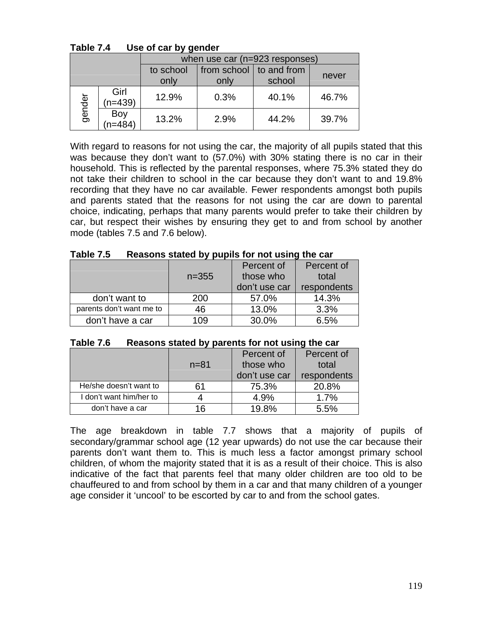|        |                   | when use car (n=923 responses)                                                     |      |       |       |
|--------|-------------------|------------------------------------------------------------------------------------|------|-------|-------|
|        |                   | from school<br>to school<br>$\vert$ to and from<br>never<br>school<br>only<br>only |      |       |       |
| gender | Girl<br>$(n=439)$ | 12.9%                                                                              | 0.3% | 40.1% | 46.7% |
|        | Boy<br>(n=484)    | 13.2%                                                                              | 2.9% | 44.2% | 39.7% |

**Table 7.4 Use of car by gender** 

With regard to reasons for not using the car, the majority of all pupils stated that this was because they don't want to (57.0%) with 30% stating there is no car in their household. This is reflected by the parental responses, where 75.3% stated they do not take their children to school in the car because they don't want to and 19.8% recording that they have no car available. Fewer respondents amongst both pupils and parents stated that the reasons for not using the car are down to parental choice, indicating, perhaps that many parents would prefer to take their children by car, but respect their wishes by ensuring they get to and from school by another mode (tables 7.5 and 7.6 below).

| $I$ anic $I$ .J          | Reasons stated by pupils for not using the car |               |             |  |  |
|--------------------------|------------------------------------------------|---------------|-------------|--|--|
|                          |                                                | Percent of    | Percent of  |  |  |
|                          | $n = 355$                                      | those who     | total       |  |  |
|                          |                                                | don't use car | respondents |  |  |
| don't want to            | 200                                            | 57.0%         | 14.3%       |  |  |
| parents don't want me to | 46                                             | 13.0%         | 3.3%        |  |  |
| don't have a car         | 109                                            | 30.0%         | 6.5%        |  |  |

| Table 7.5 | Reasons stated by pupils for not using the car |
|-----------|------------------------------------------------|
|-----------|------------------------------------------------|

| $I$ a $U$ i $J$<br><b>Reasons stated by parents for not using the car</b> |          |               |             |  |
|---------------------------------------------------------------------------|----------|---------------|-------------|--|
|                                                                           |          | Percent of    | Percent of  |  |
|                                                                           | $n = 81$ | those who     | total       |  |
|                                                                           |          | don't use car | respondents |  |
| He/she doesn't want to                                                    | 61       | 75.3%         | 20.8%       |  |
| I don't want him/her to                                                   |          | 4.9%          | 1.7%        |  |
| don't have a car                                                          | 16       | 19.8%         | 5.5%        |  |

**Table 7.6 Reasons stated by parents for not using the car** 

The age breakdown in table 7.7 shows that a majority of pupils of secondary/grammar school age (12 year upwards) do not use the car because their parents don't want them to. This is much less a factor amongst primary school children, of whom the majority stated that it is as a result of their choice. This is also indicative of the fact that parents feel that many older children are too old to be chauffeured to and from school by them in a car and that many children of a younger age consider it 'uncool' to be escorted by car to and from the school gates.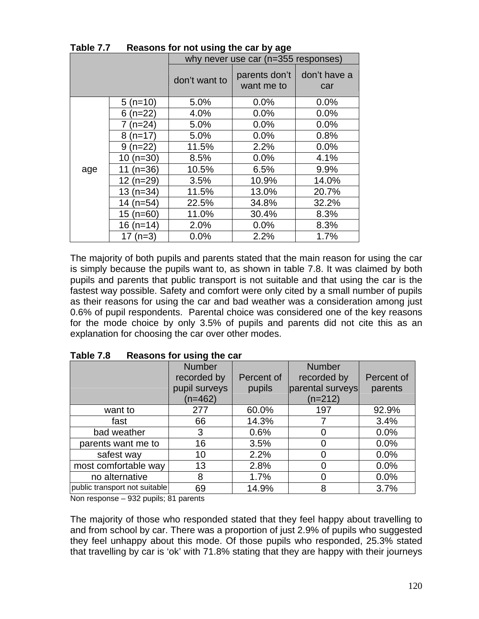|     | why never use car (n=355 responses) |                                                     |       |              |
|-----|-------------------------------------|-----------------------------------------------------|-------|--------------|
|     |                                     | parents don't<br>don't want to<br>want me to<br>car |       | don't have a |
|     | $5(n=10)$                           | 5.0%                                                | 0.0%  | 0.0%         |
|     | $6(n=22)$                           | 4.0%                                                | 0.0%  | 0.0%         |
|     | $7(n=24)$                           | 5.0%                                                | 0.0%  | 0.0%         |
|     | $8(n=17)$                           | 5.0%                                                | 0.0%  | 0.8%         |
|     | $9(n=22)$                           | 11.5%                                               | 2.2%  | 0.0%         |
|     | $10(n=30)$                          | 8.5%                                                | 0.0%  | 4.1%         |
| age | 11 $(n=36)$                         | 10.5%                                               | 6.5%  | 9.9%         |
|     | $12(n=29)$                          | 3.5%                                                | 10.9% | 14.0%        |
|     | $13(n=34)$                          | 11.5%                                               | 13.0% | 20.7%        |
|     | 14 (n=54)                           | 22.5%                                               | 34.8% | 32.2%        |
|     | $15(n=60)$                          | 11.0%                                               | 30.4% | 8.3%         |
|     | 16 $(n=14)$                         | 2.0%                                                | 0.0%  | 8.3%         |
|     | 17 $(n=3)$                          | 0.0%                                                | 2.2%  | 1.7%         |

**Table 7.7 Reasons for not using the car by age** 

The majority of both pupils and parents stated that the main reason for using the car is simply because the pupils want to, as shown in table 7.8. It was claimed by both pupils and parents that public transport is not suitable and that using the car is the fastest way possible. Safety and comfort were only cited by a small number of pupils as their reasons for using the car and bad weather was a consideration among just 0.6% of pupil respondents. Parental choice was considered one of the key reasons for the mode choice by only 3.5% of pupils and parents did not cite this as an explanation for choosing the car over other modes.

| .                             | <b>INGRUPTION IOI RUING CITY ORI</b> |            |                  |            |  |
|-------------------------------|--------------------------------------|------------|------------------|------------|--|
|                               | <b>Number</b>                        |            | <b>Number</b>    |            |  |
|                               | recorded by                          | Percent of | recorded by      | Percent of |  |
|                               | pupil surveys                        | pupils     | parental surveys | parents    |  |
|                               | $(n=462)$                            |            | $(n=212)$        |            |  |
| want to                       | 277                                  | 60.0%      | 197              | 92.9%      |  |
| fast                          | 66                                   | 14.3%      |                  | 3.4%       |  |
| bad weather                   | 3                                    | 0.6%       |                  | 0.0%       |  |
| parents want me to            | 16                                   | 3.5%       |                  | 0.0%       |  |
| safest way                    | 10                                   | 2.2%       |                  | 0.0%       |  |
| most comfortable way          | 13                                   | 2.8%       |                  | 0.0%       |  |
| no alternative                | 8                                    | 1.7%       |                  | 0.0%       |  |
| public transport not suitable | 69                                   | 14.9%      | 8                | 3.7%       |  |

**Table 7.8 Reasons for using the car** 

Non response – 932 pupils; 81 parents

The majority of those who responded stated that they feel happy about travelling to and from school by car. There was a proportion of just 2.9% of pupils who suggested they feel unhappy about this mode. Of those pupils who responded, 25.3% stated that travelling by car is 'ok' with 71.8% stating that they are happy with their journeys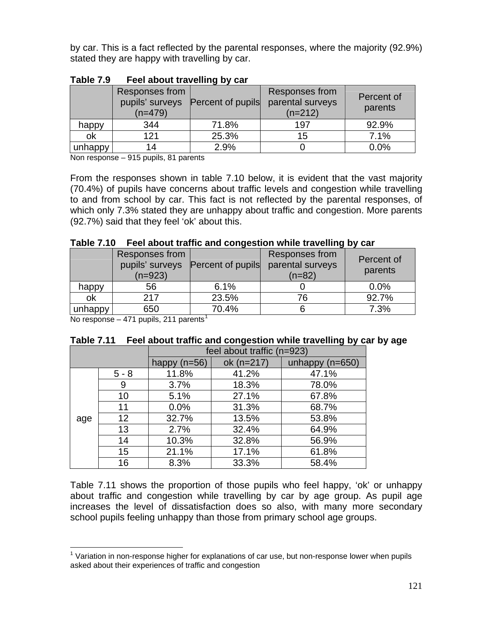by car. This is a fact reflected by the parental responses, where the majority (92.9%) stated they are happy with travelling by car.

|         | - - - -                                        |                   |                                                 |                       |  |
|---------|------------------------------------------------|-------------------|-------------------------------------------------|-----------------------|--|
|         | Responses from<br>pupils' surveys<br>$(n=479)$ | Percent of pupils | Responses from<br>parental surveys<br>$(n=212)$ | Percent of<br>parents |  |
| happy   | 344                                            | 71.8%             | 197                                             | 92.9%                 |  |
| οk      | 121                                            | 25.3%             | 15                                              | 7.1%                  |  |
| unhappy | 14                                             | 2.9%              |                                                 | 0.0%                  |  |

| Table 7.9 | Feel about travelling by car |  |
|-----------|------------------------------|--|
|           |                              |  |

Non response – 915 pupils, 81 parents

From the responses shown in table 7.10 below, it is evident that the vast majority (70.4%) of pupils have concerns about traffic levels and congestion while travelling to and from school by car. This fact is not reflected by the parental responses, of which only 7.3% stated they are unhappy about traffic and congestion. More parents (92.7%) said that they feel 'ok' about this.

|  | Table 7.10 Feel about traffic and congestion while travelling by car |
|--|----------------------------------------------------------------------|
|--|----------------------------------------------------------------------|

|         | Responses from<br>$(n=923)$ | pupils' surveys Percent of pupils | <b>Responses from</b><br>parental surveys<br>$(n=82)$ | Percent of<br>parents |
|---------|-----------------------------|-----------------------------------|-------------------------------------------------------|-----------------------|
| happy   | 56                          | 6.1%                              |                                                       | 0.0%                  |
| ok      | 217                         | 23.5%                             | 76                                                    | 92.7%                 |
| unhappy | 650                         | 70.4%                             |                                                       | 7.3%                  |

No response – 47[1](#page-6-0) pupils, 211 parents<sup>1</sup>

 $\overline{a}$ 

| Table 7.11  Feel about traffic and congestion while travelling by car by age |  |  |
|------------------------------------------------------------------------------|--|--|
|------------------------------------------------------------------------------|--|--|

|     |         | feel about traffic (n=923) |            |                   |  |
|-----|---------|----------------------------|------------|-------------------|--|
|     |         | happy $(n=56)$             | ok (n=217) | unhappy $(n=650)$ |  |
|     | $5 - 8$ | 11.8%                      | 41.2%      | 47.1%             |  |
|     | 9       | 3.7%                       | 18.3%      | 78.0%             |  |
|     | 10      | 5.1%                       | 27.1%      | 67.8%             |  |
|     | 11      | 0.0%                       | 31.3%      | 68.7%             |  |
| age | 12      | 32.7%                      | 13.5%      | 53.8%             |  |
|     | 13      | 2.7%                       | 32.4%      | 64.9%             |  |
|     | 14      | 10.3%                      | 32.8%      | 56.9%             |  |
|     | 15      | 21.1%                      | 17.1%      | 61.8%             |  |
|     | 16      | 8.3%                       | 33.3%      | 58.4%             |  |

Table 7.11 shows the proportion of those pupils who feel happy, 'ok' or unhappy about traffic and congestion while travelling by car by age group. As pupil age increases the level of dissatisfaction does so also, with many more secondary school pupils feeling unhappy than those from primary school age groups.

<span id="page-6-0"></span> $1$  Variation in non-response higher for explanations of car use, but non-response lower when pupils asked about their experiences of traffic and congestion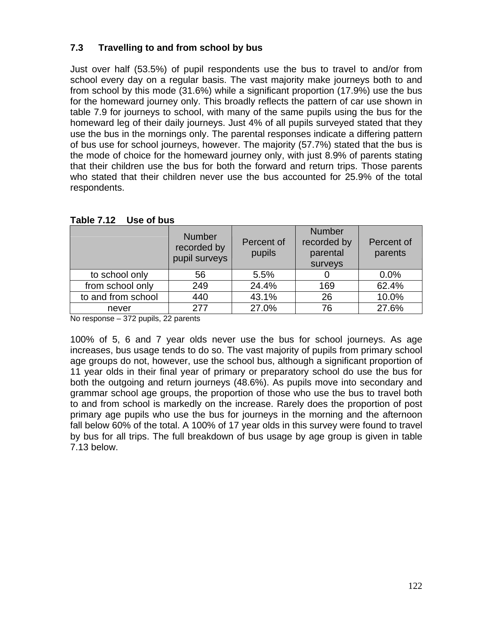# **7.3 Travelling to and from school by bus**

Just over half (53.5%) of pupil respondents use the bus to travel to and/or from school every day on a regular basis. The vast majority make journeys both to and from school by this mode (31.6%) while a significant proportion (17.9%) use the bus for the homeward journey only. This broadly reflects the pattern of car use shown in table 7.9 for journeys to school, with many of the same pupils using the bus for the homeward leg of their daily journeys. Just 4% of all pupils surveyed stated that they use the bus in the mornings only. The parental responses indicate a differing pattern of bus use for school journeys, however. The majority (57.7%) stated that the bus is the mode of choice for the homeward journey only, with just 8.9% of parents stating that their children use the bus for both the forward and return trips. Those parents who stated that their children never use the bus accounted for 25.9% of the total respondents.

|                    | <b>Number</b><br>recorded by<br>pupil surveys | Percent of<br>pupils | <b>Number</b><br>recorded by<br>parental<br>surveys | Percent of<br>parents |
|--------------------|-----------------------------------------------|----------------------|-----------------------------------------------------|-----------------------|
| to school only     | 56                                            | 5.5%                 |                                                     | 0.0%                  |
| from school only   | 249                                           | 24.4%                | 169                                                 | 62.4%                 |
| to and from school | 440                                           | 43.1%                | 26                                                  | 10.0%                 |
| never              | 277                                           | 27.0%                | 76                                                  | 27.6%                 |

**Table 7.12 Use of bus** 

No response – 372 pupils, 22 parents

100% of 5, 6 and 7 year olds never use the bus for school journeys. As age increases, bus usage tends to do so. The vast majority of pupils from primary school age groups do not, however, use the school bus, although a significant proportion of 11 year olds in their final year of primary or preparatory school do use the bus for both the outgoing and return journeys (48.6%). As pupils move into secondary and grammar school age groups, the proportion of those who use the bus to travel both to and from school is markedly on the increase. Rarely does the proportion of post primary age pupils who use the bus for journeys in the morning and the afternoon fall below 60% of the total. A 100% of 17 year olds in this survey were found to travel by bus for all trips. The full breakdown of bus usage by age group is given in table 7.13 below.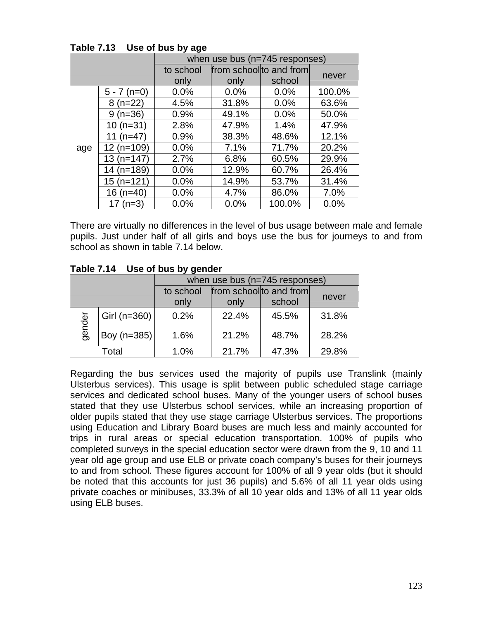|     |               | when use bus (n=745 responses) |       |                         |        |  |  |
|-----|---------------|--------------------------------|-------|-------------------------|--------|--|--|
|     |               | to school                      |       | from school to and from |        |  |  |
|     |               | only                           | only  | school                  | never  |  |  |
|     | $5 - 7$ (n=0) | 0.0%                           | 0.0%  | 0.0%                    | 100.0% |  |  |
|     | $8(n=22)$     | 4.5%                           | 31.8% | 0.0%                    | 63.6%  |  |  |
|     | $9(n=36)$     | 0.9%                           | 49.1% | 0.0%                    | 50.0%  |  |  |
|     | $10(n=31)$    | 2.8%                           | 47.9% | 1.4%                    | 47.9%  |  |  |
|     | 11 $(n=47)$   | 0.9%                           | 38.3% | 48.6%                   | 12.1%  |  |  |
| age | 12 (n=109)    | 0.0%                           | 7.1%  | 71.7%                   | 20.2%  |  |  |
|     | $13(n=147)$   | 2.7%                           | 6.8%  | 60.5%                   | 29.9%  |  |  |
|     | 14 (n=189)    | 0.0%                           | 12.9% | 60.7%                   | 26.4%  |  |  |
|     | $15(n=121)$   | 0.0%                           | 14.9% | 53.7%                   | 31.4%  |  |  |
|     | 16 $(n=40)$   | 0.0%                           | 4.7%  | 86.0%                   | 7.0%   |  |  |
|     | 17 $(n=3)$    | 0.0%                           | 0.0%  | 100.0%                  | 0.0%   |  |  |

**Table 7.13 Use of bus by age** 

There are virtually no differences in the level of bus usage between male and female pupils. Just under half of all girls and boys use the bus for journeys to and from school as shown in table 7.14 below.

|        |                | when use bus (n=745 responses) |                         |       |       |  |  |
|--------|----------------|--------------------------------|-------------------------|-------|-------|--|--|
|        |                | to school                      | from school to and from |       |       |  |  |
|        |                | only                           | school<br>only          |       | never |  |  |
| gender | Girl $(n=360)$ | 0.2%                           | 22.4%                   | 45.5% | 31.8% |  |  |
|        | Boy (n=385)    | 1.6%                           | 21.2%                   | 48.7% | 28.2% |  |  |
| Total  |                | 1.0%                           | 21.7%                   | 47.3% | 29.8% |  |  |

**Table 7.14 Use of bus by gender** 

Regarding the bus services used the majority of pupils use Translink (mainly Ulsterbus services). This usage is split between public scheduled stage carriage services and dedicated school buses. Many of the younger users of school buses stated that they use Ulsterbus school services, while an increasing proportion of older pupils stated that they use stage carriage Ulsterbus services. The proportions using Education and Library Board buses are much less and mainly accounted for trips in rural areas or special education transportation. 100% of pupils who completed surveys in the special education sector were drawn from the 9, 10 and 11 year old age group and use ELB or private coach company's buses for their journeys to and from school. These figures account for 100% of all 9 year olds (but it should be noted that this accounts for just 36 pupils) and 5.6% of all 11 year olds using private coaches or minibuses, 33.3% of all 10 year olds and 13% of all 11 year olds using ELB buses.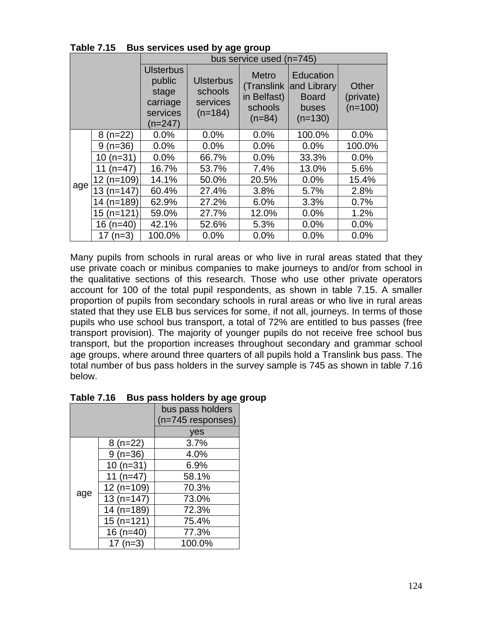|     |                 | ין יש יש יש <i>נ</i> י<br>bus service used (n=745)                     |                                                                                                                                                                                            |       |                                 |        |  |
|-----|-----------------|------------------------------------------------------------------------|--------------------------------------------------------------------------------------------------------------------------------------------------------------------------------------------|-------|---------------------------------|--------|--|
|     |                 | <b>Ulsterbus</b><br>public<br>stage<br>carriage<br>services<br>(n=247) | <b>Metro</b><br>Education<br><b>Ulsterbus</b><br>and Library<br>(Translink<br>schools<br>in Belfast)<br><b>Board</b><br>services<br>schools<br>buses<br>$(n=184)$<br>$(n=84)$<br>$(n=130)$ |       | Other<br>(private)<br>$(n=100)$ |        |  |
|     | $8(n=22)$       | 0.0%                                                                   | 0.0%                                                                                                                                                                                       | 0.0%  | 100.0%                          | 0.0%   |  |
|     | $(n=36)$<br>9   | 0.0%                                                                   | 0.0%                                                                                                                                                                                       | 0.0%  | 0.0%                            | 100.0% |  |
|     | $(n=31)$<br>10  | 0.0%                                                                   | 66.7%                                                                                                                                                                                      | 0.0%  | 33.3%                           | 0.0%   |  |
|     | $(n=47)$<br>11  | 16.7%                                                                  | 53.7%                                                                                                                                                                                      | 7.4%  | 13.0%                           | 5.6%   |  |
|     | $12(n=109)$     | 14.1%                                                                  | 50.0%                                                                                                                                                                                      | 20.5% | 0.0%                            | 15.4%  |  |
| age | $13(n=147)$     | 60.4%                                                                  | 27.4%                                                                                                                                                                                      | 3.8%  | 5.7%                            | 2.8%   |  |
|     | $(n=189)$<br>14 | 62.9%                                                                  | 27.2%                                                                                                                                                                                      | 6.0%  | 3.3%                            | 0.7%   |  |
|     | $15(n=121)$     | 59.0%                                                                  | 27.7%                                                                                                                                                                                      | 12.0% | 0.0%                            | 1.2%   |  |
|     | $16$ (n=40)     | 42.1%                                                                  | 52.6%                                                                                                                                                                                      | 5.3%  | 0.0%                            | 0.0%   |  |
|     | 17 $(n=3)$      | 100.0%                                                                 | 0.0%                                                                                                                                                                                       | 0.0%  | 0.0%                            | 0.0%   |  |

**Table 7.15 Bus services used by age group** 

Many pupils from schools in rural areas or who live in rural areas stated that they use private coach or minibus companies to make journeys to and/or from school in the qualitative sections of this research. Those who use other private operators account for 100 of the total pupil respondents, as shown in table 7.15. A smaller proportion of pupils from secondary schools in rural areas or who live in rural areas stated that they use ELB bus services for some, if not all, journeys. In terms of those pupils who use school bus transport, a total of 72% are entitled to bus passes (free transport provision). The majority of younger pupils do not receive free school bus transport, but the proportion increases throughout secondary and grammar school age groups, where around three quarters of all pupils hold a Translink bus pass. The total number of bus pass holders in the survey sample is 745 as shown in table 7.16 below.

| 1 GNIV 1 . I V<br>Dus pass noiucis by age g |              |                     |  |  |  |
|---------------------------------------------|--------------|---------------------|--|--|--|
|                                             |              | bus pass holders    |  |  |  |
|                                             |              | $(n=745$ responses) |  |  |  |
|                                             |              | yes                 |  |  |  |
|                                             | $8(n=22)$    | 3.7%                |  |  |  |
|                                             | $9(n=36)$    | 4.0%                |  |  |  |
|                                             | $10(n=31)$   | 6.9%                |  |  |  |
|                                             | 11 $(n=47)$  | 58.1%               |  |  |  |
|                                             | $12(n=109)$  | 70.3%               |  |  |  |
| age                                         | $13(n=147)$  | 73.0%               |  |  |  |
|                                             | 14 $(n=189)$ | 72.3%               |  |  |  |
|                                             | $15(n=121)$  | 75.4%               |  |  |  |
|                                             | $16$ (n=40)  | 77.3%               |  |  |  |
|                                             | $17(n=3)$    | 100.0%              |  |  |  |

| Table 7.16 Bus pass holders by age group |  |
|------------------------------------------|--|
|------------------------------------------|--|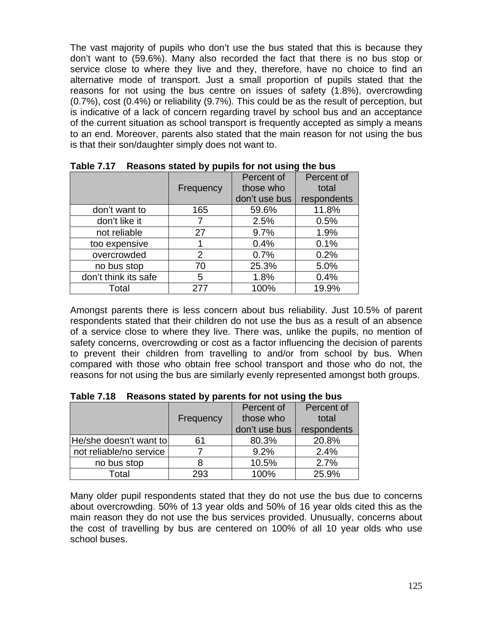The vast majority of pupils who don't use the bus stated that this is because they don't want to (59.6%). Many also recorded the fact that there is no bus stop or service close to where they live and they, therefore, have no choice to find an alternative mode of transport. Just a small proportion of pupils stated that the reasons for not using the bus centre on issues of safety (1.8%), overcrowding (0.7%), cost (0.4%) or reliability (9.7%). This could be as the result of perception, but is indicative of a lack of concern regarding travel by school bus and an acceptance of the current situation as school transport is frequently accepted as simply a means to an end. Moreover, parents also stated that the main reason for not using the bus is that their son/daughter simply does not want to.

|                      |                | Percent of    | Percent of  |
|----------------------|----------------|---------------|-------------|
|                      | Frequency      | those who     | total       |
|                      |                | don't use bus | respondents |
| don't want to        | 165            | 59.6%         | 11.8%       |
| don't like it        |                | 2.5%          | 0.5%        |
| not reliable         | 27             | 9.7%          | 1.9%        |
| too expensive        |                | 0.4%          | 0.1%        |
| overcrowded          | $\overline{2}$ | 0.7%          | 0.2%        |
| no bus stop          | 70             | 25.3%         | 5.0%        |
| don't think its safe | 5              | 1.8%          | 0.4%        |
| Total                | 277            | 100%          | 19.9%       |

**Table 7.17 Reasons stated by pupils for not using the bus** 

Amongst parents there is less concern about bus reliability. Just 10.5% of parent respondents stated that their children do not use the bus as a result of an absence of a service close to where they live. There was, unlike the pupils, no mention of safety concerns, overcrowding or cost as a factor influencing the decision of parents to prevent their children from travelling to and/or from school by bus. When compared with those who obtain free school transport and those who do not, the reasons for not using the bus are similarly evenly represented amongst both groups.

|                         |           | Percent of    | Percent of  |  |
|-------------------------|-----------|---------------|-------------|--|
|                         | Frequency | those who     | total       |  |
|                         |           | don't use bus | respondents |  |
| He/she doesn't want to  | 61        | 80.3%         | 20.8%       |  |
| not reliable/no service |           | 9.2%          | 2.4%        |  |
| no bus stop             |           | 10.5%         | 2.7%        |  |
| Total                   | 293       | 100%          | 25.9%       |  |

**Table 7.18 Reasons stated by parents for not using the bus** 

Many older pupil respondents stated that they do not use the bus due to concerns about overcrowding. 50% of 13 year olds and 50% of 16 year olds cited this as the main reason they do not use the bus services provided. Unusually, concerns about the cost of travelling by bus are centered on 100% of all 10 year olds who use school buses.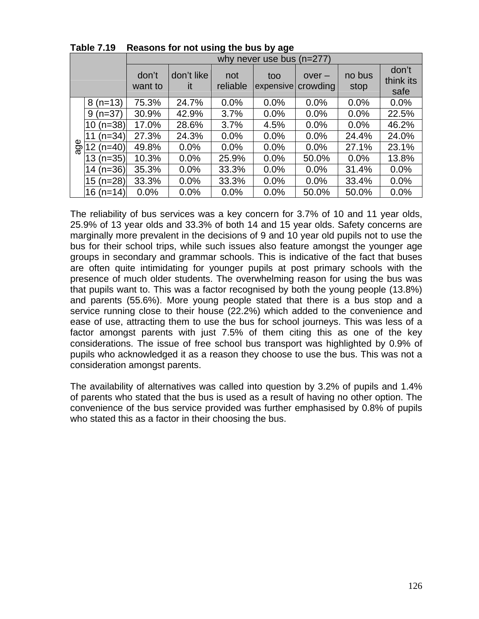|     |                 | why never use bus $(n=277)$ |                  |                 |                  |                      |                |                            |
|-----|-----------------|-----------------------------|------------------|-----------------|------------------|----------------------|----------------|----------------------------|
|     |                 | don't<br>want to            | don't like<br>it | not<br>reliable | too<br>expensive | $over -$<br>crowding | no bus<br>stop | don't<br>think its<br>safe |
|     | $8(n=13)$       | 75.3%                       | 24.7%            | 0.0%            | 0.0%             | 0.0%                 | 0.0%           | 0.0%                       |
|     | $9(n=37)$       | 30.9%                       | 42.9%            | 3.7%            | 0.0%             | 0.0%                 | 0.0%           | 22.5%                      |
| age | $10 (n=38)$     | 17.0%                       | 28.6%            | 3.7%            | 4.5%             | 0.0%                 | 0.0%           | 46.2%                      |
|     | $(n=34)$<br>11  | 27.3%                       | 24.3%            | 0.0%            | 0.0%             | 0.0%                 | 24.4%          | 24.0%                      |
|     | $(n=40)$<br>(2) | 49.8%                       | 0.0%             | 0.0%            | 0.0%             | 0.0%                 | 27.1%          | 23.1%                      |
|     | $13(n=35)$      | 10.3%                       | 0.0%             | 25.9%           | 0.0%             | 50.0%                | 0.0%           | 13.8%                      |
|     | $14$ (n=36)     | 35.3%                       | 0.0%             | 33.3%           | 0.0%             | 0.0%                 | 31.4%          | 0.0%                       |
|     | 15 (n=28)       | 33.3%                       | 0.0%             | 33.3%           | 0.0%             | 0.0%                 | 33.4%          | 0.0%                       |
|     | 16 (n=14)       | 0.0%                        | 0.0%             | 0.0%            | 0.0%             | 50.0%                | 50.0%          | 0.0%                       |

**Table 7.19 Reasons for not using the bus by age** 

The reliability of bus services was a key concern for 3.7% of 10 and 11 year olds, 25.9% of 13 year olds and 33.3% of both 14 and 15 year olds. Safety concerns are marginally more prevalent in the decisions of 9 and 10 year old pupils not to use the bus for their school trips, while such issues also feature amongst the younger age groups in secondary and grammar schools. This is indicative of the fact that buses are often quite intimidating for younger pupils at post primary schools with the presence of much older students. The overwhelming reason for using the bus was that pupils want to. This was a factor recognised by both the young people (13.8%) and parents (55.6%). More young people stated that there is a bus stop and a service running close to their house (22.2%) which added to the convenience and ease of use, attracting them to use the bus for school journeys. This was less of a factor amongst parents with just 7.5% of them citing this as one of the key considerations. The issue of free school bus transport was highlighted by 0.9% of pupils who acknowledged it as a reason they choose to use the bus. This was not a consideration amongst parents.

The availability of alternatives was called into question by 3.2% of pupils and 1.4% of parents who stated that the bus is used as a result of having no other option. The convenience of the bus service provided was further emphasised by 0.8% of pupils who stated this as a factor in their choosing the bus.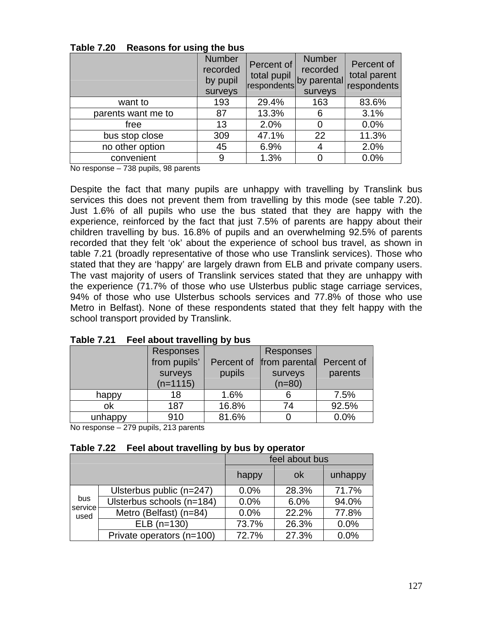|                    | <b>Number</b><br>recorded<br>by pupil<br>surveys | Percent of<br>total pupil<br>respondents by parental | <b>Number</b><br>recorded<br>surveys | Percent of<br>total parent<br>respondents |
|--------------------|--------------------------------------------------|------------------------------------------------------|--------------------------------------|-------------------------------------------|
| want to            | 193                                              | 29.4%                                                | 163                                  | 83.6%                                     |
| parents want me to | 87                                               | 13.3%                                                | 6                                    | 3.1%                                      |
| free               | 13                                               | 2.0%                                                 | 0                                    | 0.0%                                      |
| bus stop close     | 309                                              | 47.1%                                                | 22                                   | 11.3%                                     |
| no other option    | 45                                               | 6.9%                                                 | 4                                    | 2.0%                                      |
| convenient         | 9                                                | 1.3%                                                 |                                      | 0.0%                                      |

**Table 7.20 Reasons for using the bus** 

No response – 738 pupils, 98 parents

Despite the fact that many pupils are unhappy with travelling by Translink bus services this does not prevent them from travelling by this mode (see table 7.20). Just 1.6% of all pupils who use the bus stated that they are happy with the experience, reinforced by the fact that just 7.5% of parents are happy about their children travelling by bus. 16.8% of pupils and an overwhelming 92.5% of parents recorded that they felt 'ok' about the experience of school bus travel, as shown in table 7.21 (broadly representative of those who use Translink services). Those who stated that they are 'happy' are largely drawn from ELB and private company users. The vast majority of users of Translink services stated that they are unhappy with the experience (71.7% of those who use Ulsterbus public stage carriage services, 94% of those who use Ulsterbus schools services and 77.8% of those who use Metro in Belfast). None of these respondents stated that they felt happy with the school transport provided by Translink.

|         | Responses    |            | Responses     |            |
|---------|--------------|------------|---------------|------------|
|         | from pupils' | Percent of | from parental | Percent of |
|         | surveys      | pupils     | surveys       | parents    |
|         | $(n=1115)$   |            | $(n=80)$      |            |
| happy   | 18           | 1.6%       |               | 7.5%       |
| ok      | 187          | 16.8%      | 74            | 92.5%      |
| unhappy | 910          | 81.6%      |               | 0.0%       |

**Table 7.21 Feel about travelling by bus** 

No response – 279 pupils, 213 parents

|                        |                           | feel about bus |           |         |
|------------------------|---------------------------|----------------|-----------|---------|
|                        |                           | happy          | <b>ok</b> | unhappy |
|                        | Ulsterbus public (n=247)  | 0.0%           | 28.3%     | 71.7%   |
| bus<br>service<br>used | Ulsterbus schools (n=184) | 0.0%           | 6.0%      | 94.0%   |
|                        | Metro (Belfast) (n=84)    | 0.0%           | 22.2%     | 77.8%   |
|                        | $ELB(n=130)$              | 73.7%          | 26.3%     | 0.0%    |
|                        | Private operators (n=100) | 72.7%          | 27.3%     | 0.0%    |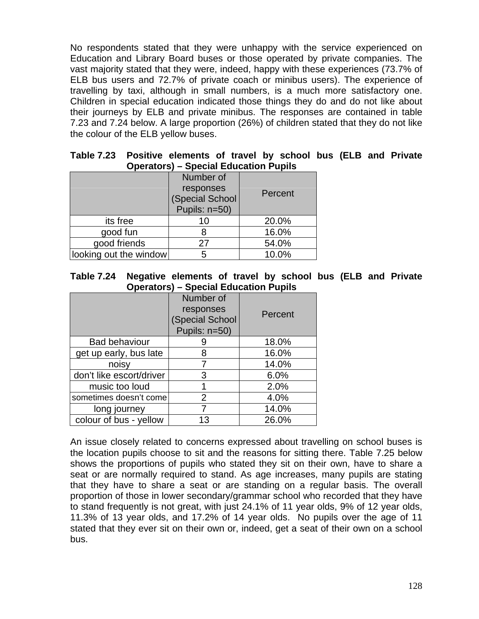No respondents stated that they were unhappy with the service experienced on Education and Library Board buses or those operated by private companies. The vast majority stated that they were, indeed, happy with these experiences (73.7% of ELB bus users and 72.7% of private coach or minibus users). The experience of travelling by taxi, although in small numbers, is a much more satisfactory one. Children in special education indicated those things they do and do not like about their journeys by ELB and private minibus. The responses are contained in table 7.23 and 7.24 below. A large proportion (26%) of children stated that they do not like the colour of the ELB yellow buses.

|                        | Operators) – Special Ludcation Fuplis                      |         |  |  |  |  |  |
|------------------------|------------------------------------------------------------|---------|--|--|--|--|--|
|                        | Number of<br>responses<br>(Special School<br>Pupils: n=50) | Percent |  |  |  |  |  |
| its free               | 10                                                         | 20.0%   |  |  |  |  |  |
| good fun               |                                                            | 16.0%   |  |  |  |  |  |
| good friends           | 27                                                         | 54.0%   |  |  |  |  |  |
| looking out the window | 5                                                          | 10.0%   |  |  |  |  |  |

**Table 7.23 Positive elements of travel by school bus (ELB and Private Operators) – Special Education Pupils** 

| Table 7.24 Negative elements of travel by school bus (ELB and Private |                                              |  |  |  |  |  |
|-----------------------------------------------------------------------|----------------------------------------------|--|--|--|--|--|
|                                                                       | <b>Operators) – Special Education Pupils</b> |  |  |  |  |  |

|                          | Number of<br>responses<br>(Special School<br>Pupils: n=50) | Percent |
|--------------------------|------------------------------------------------------------|---------|
| <b>Bad behaviour</b>     |                                                            | 18.0%   |
| get up early, bus late   | 8                                                          | 16.0%   |
| noisy                    |                                                            | 14.0%   |
| don't like escort/driver | 3                                                          | 6.0%    |
| music too loud           |                                                            | 2.0%    |
| sometimes doesn't come   | $\overline{2}$                                             | 4.0%    |
| long journey             |                                                            | 14.0%   |
| colour of bus - yellow   | 13                                                         | 26.0%   |

An issue closely related to concerns expressed about travelling on school buses is the location pupils choose to sit and the reasons for sitting there. Table 7.25 below shows the proportions of pupils who stated they sit on their own, have to share a seat or are normally required to stand. As age increases, many pupils are stating that they have to share a seat or are standing on a regular basis. The overall proportion of those in lower secondary/grammar school who recorded that they have to stand frequently is not great, with just 24.1% of 11 year olds, 9% of 12 year olds, 11.3% of 13 year olds, and 17.2% of 14 year olds. No pupils over the age of 11 stated that they ever sit on their own or, indeed, get a seat of their own on a school bus.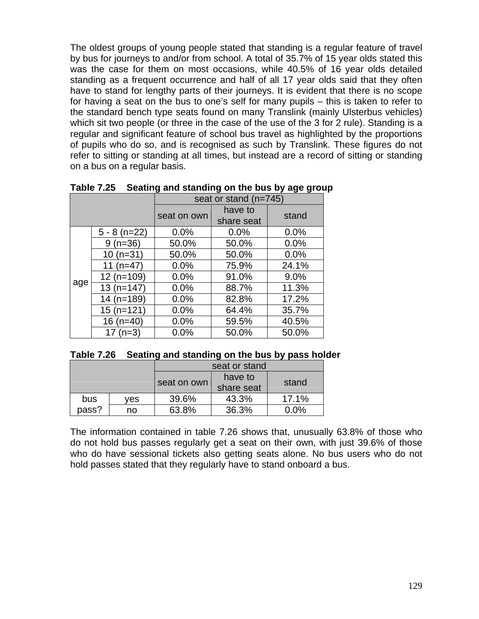The oldest groups of young people stated that standing is a regular feature of travel by bus for journeys to and/or from school. A total of 35.7% of 15 year olds stated this was the case for them on most occasions, while 40.5% of 16 year olds detailed standing as a frequent occurrence and half of all 17 year olds said that they often have to stand for lengthy parts of their journeys. It is evident that there is no scope for having a seat on the bus to one's self for many pupils – this is taken to refer to the standard bench type seats found on many Translink (mainly Ulsterbus vehicles) which sit two people (or three in the case of the use of the 3 for 2 rule). Standing is a regular and significant feature of school bus travel as highlighted by the proportions of pupils who do so, and is recognised as such by Translink. These figures do not refer to sitting or standing at all times, but instead are a record of sitting or standing on a bus on a regular basis.

|     |                | seat or stand (n=745) |            |       |  |
|-----|----------------|-----------------------|------------|-------|--|
|     |                | seat on own           | have to    | stand |  |
|     |                |                       | share seat |       |  |
|     | $5 - 8$ (n=22) | 0.0%                  | 0.0%       | 0.0%  |  |
|     | $9(n=36)$      | 50.0%                 | 50.0%      | 0.0%  |  |
|     | $10(n=31)$     | 50.0%                 | 50.0%      | 0.0%  |  |
|     | 11 $(n=47)$    | 0.0%                  | 75.9%      | 24.1% |  |
|     | $12(n=109)$    | 0.0%                  | 91.0%      | 9.0%  |  |
| age | $13(n=147)$    | 0.0%                  | 88.7%      | 11.3% |  |
|     | $14$ (n=189)   | 0.0%                  | 82.8%      | 17.2% |  |
|     | $15(n=121)$    | 0.0%                  | 64.4%      | 35.7% |  |
|     | 16 $(n=40)$    | 0.0%                  | 59.5%      | 40.5% |  |
|     | 17 $(n=3)$     | 0.0%                  | 50.0%      | 50.0% |  |

**Table 7.25 Seating and standing on the bus by age group** 

|  | Table 7.26 Seating and standing on the bus by pass holder |  |  |
|--|-----------------------------------------------------------|--|--|
|--|-----------------------------------------------------------|--|--|

|       |     | seat or stand |            |         |  |
|-------|-----|---------------|------------|---------|--|
|       |     |               | have to    | stand   |  |
|       |     | seat on own   | share seat |         |  |
| bus   | ves | 39.6%         | 43.3%      | 17.1%   |  |
| pass? | no  | 63.8%         | 36.3%      | $0.0\%$ |  |
|       |     |               |            |         |  |

The information contained in table 7.26 shows that, unusually 63.8% of those who do not hold bus passes regularly get a seat on their own, with just 39.6% of those who do have sessional tickets also getting seats alone. No bus users who do not hold passes stated that they regularly have to stand onboard a bus.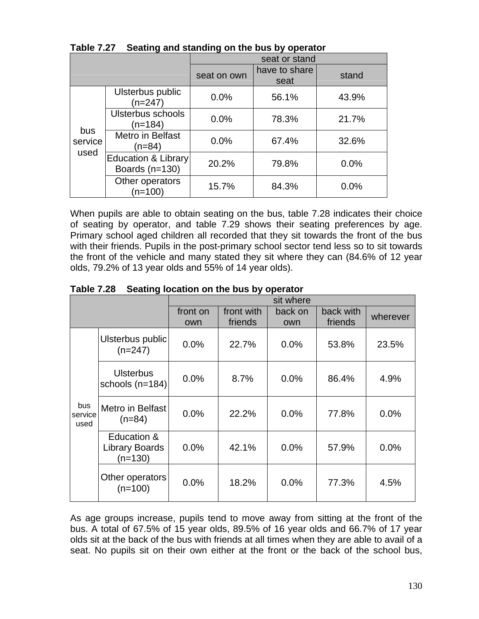|                        |                                                    | seat or stand |                       |       |  |
|------------------------|----------------------------------------------------|---------------|-----------------------|-------|--|
|                        |                                                    | seat on own   | have to share<br>seat | stand |  |
|                        | Ulsterbus public<br>$(n=247)$                      | 0.0%          | 56.1%                 | 43.9% |  |
| bus<br>service<br>used | Ulsterbus schools<br>$(n=184)$                     | 0.0%          | 78.3%                 | 21.7% |  |
|                        | Metro in Belfast<br>(n=84)                         | 0.0%          | 67.4%                 | 32.6% |  |
|                        | <b>Education &amp; Library</b><br>Boards $(n=130)$ | 20.2%         | 79.8%                 | 0.0%  |  |
|                        | Other operators<br>$(n=100)$                       | 15.7%         | 84.3%                 | 0.0%  |  |

**Table 7.27 Seating and standing on the bus by operator** 

When pupils are able to obtain seating on the bus, table 7.28 indicates their choice of seating by operator, and table 7.29 shows their seating preferences by age. Primary school aged children all recorded that they sit towards the front of the bus with their friends. Pupils in the post-primary school sector tend less so to sit towards the front of the vehicle and many stated they sit where they can (84.6% of 12 year olds, 79.2% of 13 year olds and 55% of 14 year olds).

|                        |                                                   |                 |                       | sit where      |                      |          |
|------------------------|---------------------------------------------------|-----------------|-----------------------|----------------|----------------------|----------|
|                        |                                                   | front on<br>own | front with<br>friends | back on<br>own | back with<br>friends | wherever |
|                        | Ulsterbus public<br>$(n=247)$                     | 0.0%            | 22.7%                 | 0.0%           | 53.8%                | 23.5%    |
|                        | <b>Ulsterbus</b><br>schools $(n=184)$             | 0.0%            | 8.7%                  | 0.0%           | 86.4%                | 4.9%     |
| bus<br>service<br>used | Metro in Belfast<br>$(n=84)$                      | 0.0%            | 22.2%                 | 0.0%           | 77.8%                | 0.0%     |
|                        | Education &<br><b>Library Boards</b><br>$(n=130)$ | 0.0%            | 42.1%                 | 0.0%           | 57.9%                | 0.0%     |
|                        | Other operators<br>$(n=100)$                      | 0.0%            | 18.2%                 | 0.0%           | 77.3%                | 4.5%     |

**Table 7.28 Seating location on the bus by operator** 

As age groups increase, pupils tend to move away from sitting at the front of the bus. A total of 67.5% of 15 year olds, 89.5% of 16 year olds and 66.7% of 17 year olds sit at the back of the bus with friends at all times when they are able to avail of a seat. No pupils sit on their own either at the front or the back of the school bus,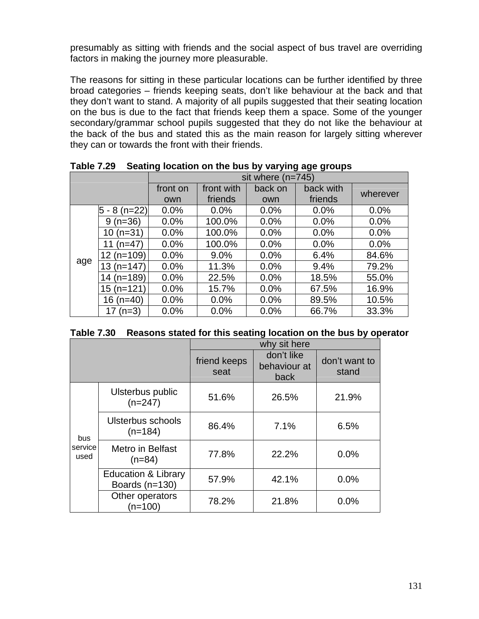presumably as sitting with friends and the social aspect of bus travel are overriding factors in making the journey more pleasurable.

The reasons for sitting in these particular locations can be further identified by three broad categories – friends keeping seats, don't like behaviour at the back and that they don't want to stand. A majority of all pupils suggested that their seating location on the bus is due to the fact that friends keep them a space. Some of the younger secondary/grammar school pupils suggested that they do not like the behaviour at the back of the bus and stated this as the main reason for largely sitting wherever they can or towards the front with their friends.

|     |                 | sit where $(n=745)$ |            |         |           |          |  |
|-----|-----------------|---------------------|------------|---------|-----------|----------|--|
|     |                 | front on            | front with | back on | back with | wherever |  |
|     |                 | own                 | friends    | own     | friends   |          |  |
|     | 5<br>$8(n=22)$  | 0.0%                | 0.0%       | 0.0%    | 0.0%      | 0.0%     |  |
|     | $(n=36)$<br>9   | 0.0%                | 100.0%     | 0.0%    | 0.0%      | 0.0%     |  |
|     | $(n=31)$<br>10  | 0.0%                | 100.0%     | 0.0%    | 0.0%      | 0.0%     |  |
|     | (n=47)<br>11    | 0.0%                | 100.0%     | 0.0%    | 0.0%      | 0.0%     |  |
|     | $(n=109)$<br>12 | 0.0%                | 9.0%       | 0.0%    | 6.4%      | 84.6%    |  |
| age | $13(n=147)$     | 0.0%                | 11.3%      | 0.0%    | 9.4%      | 79.2%    |  |
|     | $14$ (n=189)    | 0.0%                | 22.5%      | 0.0%    | 18.5%     | 55.0%    |  |
|     | $(n=121)$<br>15 | 0.0%                | 15.7%      | 0.0%    | 67.5%     | 16.9%    |  |
|     | $(n=40)$<br>16  | 0.0%                | 0.0%       | 0.0%    | 89.5%     | 10.5%    |  |
|     | $(n=3)$         | 0.0%                | 0.0%       | 0.0%    | 66.7%     | 33.3%    |  |

**Table 7.29 Seating location on the bus by varying age groups** 

|  | Table 7.30 Reasons stated for this seating location on the bus by operator |  |  |  |
|--|----------------------------------------------------------------------------|--|--|--|
|--|----------------------------------------------------------------------------|--|--|--|

|                        |                                                    | why sit here         |                                    |                        |
|------------------------|----------------------------------------------------|----------------------|------------------------------------|------------------------|
|                        |                                                    | friend keeps<br>seat | don't like<br>behaviour at<br>back | don't want to<br>stand |
|                        | Ulsterbus public<br>$(n=247)$                      | 51.6%                | 26.5%                              | 21.9%                  |
| bus<br>service<br>used | Ulsterbus schools<br>$(n=184)$                     | 86.4%                | 7.1%                               | 6.5%                   |
|                        | Metro in Belfast<br>$(n=84)$                       | 77.8%                | 22.2%                              | 0.0%                   |
|                        | <b>Education &amp; Library</b><br>Boards $(n=130)$ | 57.9%                | 42.1%                              | 0.0%                   |
|                        | Other operators<br>$(n=100)$                       | 78.2%                | 21.8%                              | 0.0%                   |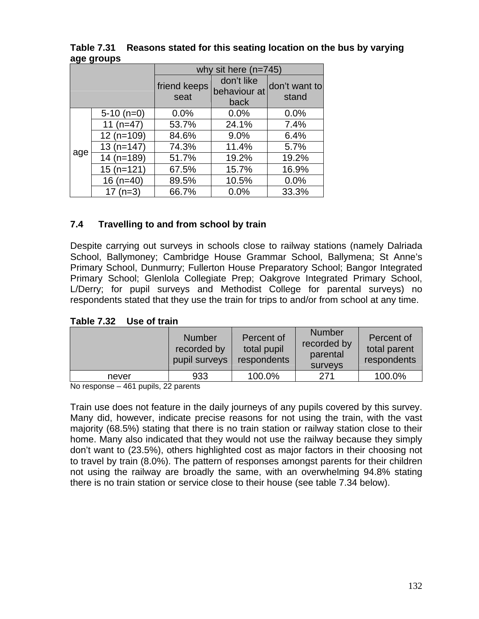|     |              | why sit here $(n=745)$ |                                    |                        |
|-----|--------------|------------------------|------------------------------------|------------------------|
|     |              | friend keeps<br>seat   | don't like<br>behaviour at<br>back | don't want to<br>stand |
|     | $5-10$ (n=0) | 0.0%                   | 0.0%                               | 0.0%                   |
|     | 11 $(n=47)$  | 53.7%                  | 24.1%                              | 7.4%                   |
|     | $12(n=109)$  | 84.6%                  | 9.0%                               | 6.4%                   |
|     | $13(n=147)$  | 74.3%                  | 11.4%                              | 5.7%                   |
| age | $14$ (n=189) | 51.7%                  | 19.2%                              | 19.2%                  |
|     | $15(n=121)$  | 67.5%                  | 15.7%                              | 16.9%                  |
|     | 16 $(n=40)$  | 89.5%                  | 10.5%                              | 0.0%                   |
|     | 17 $(n=3)$   | 66.7%                  | 0.0%                               | 33.3%                  |

# **Table 7.31 Reasons stated for this seating location on the bus by varying age groups**

# **7.4 Travelling to and from school by train**

Despite carrying out surveys in schools close to railway stations (namely Dalriada School, Ballymoney; Cambridge House Grammar School, Ballymena; St Anne's Primary School, Dunmurry; Fullerton House Preparatory School; Bangor Integrated Primary School; Glenlola Collegiate Prep; Oakgrove Integrated Primary School, L/Derry; for pupil surveys and Methodist College for parental surveys) no respondents stated that they use the train for trips to and/or from school at any time.

# **Table 7.32 Use of train**

|       | <b>Number</b><br>recorded by<br>pupil surveys | Percent of<br>total pupil<br>respondents | <b>Number</b><br>recorded by<br>parental<br>surveys | Percent of<br>total parent<br>respondents |
|-------|-----------------------------------------------|------------------------------------------|-----------------------------------------------------|-------------------------------------------|
| never | 933                                           | 100.0%                                   | 271                                                 | 100.0%                                    |

No response – 461 pupils, 22 parents

Train use does not feature in the daily journeys of any pupils covered by this survey. Many did, however, indicate precise reasons for not using the train, with the vast majority (68.5%) stating that there is no train station or railway station close to their home. Many also indicated that they would not use the railway because they simply don't want to (23.5%), others highlighted cost as major factors in their choosing not to travel by train (8.0%). The pattern of responses amongst parents for their children not using the railway are broadly the same, with an overwhelming 94.8% stating there is no train station or service close to their house (see table 7.34 below).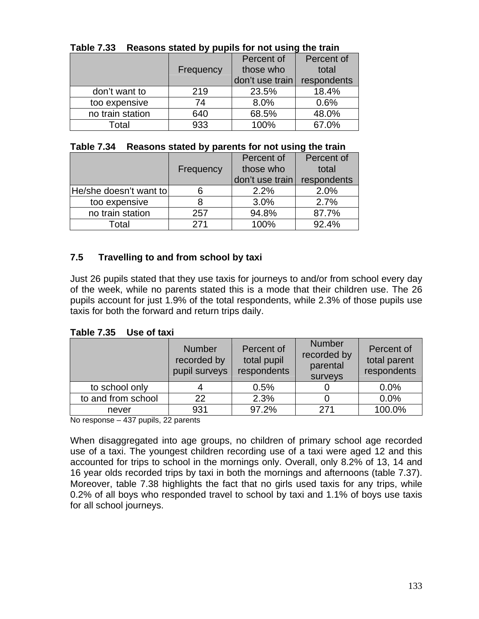|                  |           | Percent of      | Percent of  |
|------------------|-----------|-----------------|-------------|
|                  | Frequency | those who       | total       |
|                  |           | don't use train | respondents |
| don't want to    | 219       | 23.5%           | 18.4%       |
| too expensive    | 74        | 8.0%            | 0.6%        |
| no train station | 640       | 68.5%           | 48.0%       |
| Total            | 933       | 100%            | 67.0%       |

# **Table 7.33 Reasons stated by pupils for not using the train**

|  |  | Table 7.34 Reasons stated by parents for not using the train |  |
|--|--|--------------------------------------------------------------|--|
|--|--|--------------------------------------------------------------|--|

|                        |           | Percent of      | Percent of  |
|------------------------|-----------|-----------------|-------------|
|                        | Frequency | those who       | total       |
|                        |           | don't use train | respondents |
| He/she doesn't want to |           | 2.2%            | 2.0%        |
| too expensive          |           | 3.0%            | 2.7%        |
| no train station       | 257       | 94.8%           | 87.7%       |
| Total                  | 271       | 100%            | 92.4%       |

# **7.5 Travelling to and from school by taxi**

Just 26 pupils stated that they use taxis for journeys to and/or from school every day of the week, while no parents stated this is a mode that their children use. The 26 pupils account for just 1.9% of the total respondents, while 2.3% of those pupils use taxis for both the forward and return trips daily.

**Table 7.35 Use of taxi** 

|                    | <b>Number</b><br>recorded by<br>pupil surveys | Percent of<br>total pupil<br>respondents | <b>Number</b><br>recorded by<br>parental<br>surveys | Percent of<br>total parent<br>respondents |
|--------------------|-----------------------------------------------|------------------------------------------|-----------------------------------------------------|-------------------------------------------|
| to school only     |                                               | 0.5%                                     |                                                     | 0.0%                                      |
| to and from school | 22                                            | 2.3%                                     |                                                     | 0.0%                                      |
| never              | 931                                           | 97.2%                                    | 271                                                 | 100.0%                                    |

No response – 437 pupils, 22 parents

When disaggregated into age groups, no children of primary school age recorded use of a taxi. The youngest children recording use of a taxi were aged 12 and this accounted for trips to school in the mornings only. Overall, only 8.2% of 13, 14 and 16 year olds recorded trips by taxi in both the mornings and afternoons (table 7.37). Moreover, table 7.38 highlights the fact that no girls used taxis for any trips, while 0.2% of all boys who responded travel to school by taxi and 1.1% of boys use taxis for all school journeys.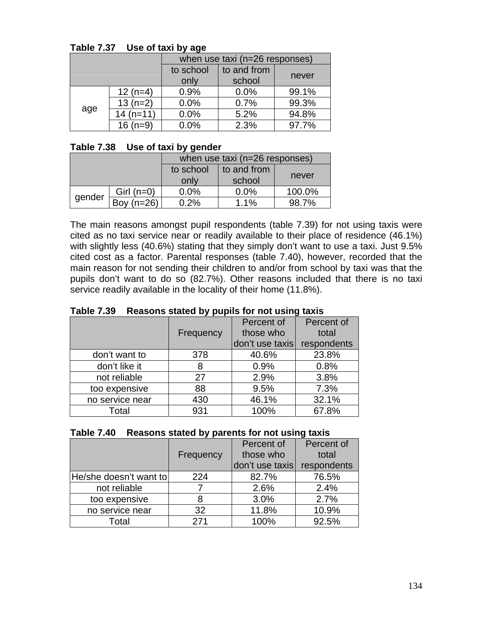|     |            | when use taxi (n=26 responses) |             |       |  |
|-----|------------|--------------------------------|-------------|-------|--|
|     |            | to school                      | to and from |       |  |
|     |            | only                           | school      | never |  |
| age | $12(n=4)$  | 0.9%                           | 0.0%        | 99.1% |  |
|     | $13(n=2)$  | 0.0%                           | 0.7%        | 99.3% |  |
|     | $14(n=11)$ | 0.0%                           | 5.2%        | 94.8% |  |
|     | $16(n=9)$  | 0.0%                           | 2.3%        | 97.7% |  |

### **Table 7.37 Use of taxi by age**

### **Table 7.38 Use of taxi by gender**

|        |              | when use taxi (n=26 responses) |             |        |
|--------|--------------|--------------------------------|-------------|--------|
|        |              | to school                      | to and from |        |
|        |              | only                           | school      | never  |
|        | Girl $(n=0)$ | 0.0%                           | 0.0%        | 100.0% |
| gender | Bov $(n=26)$ | 0.2%                           | 1.1%        | 98 7%  |

The main reasons amongst pupil respondents (table 7.39) for not using taxis were cited as no taxi service near or readily available to their place of residence (46.1%) with slightly less (40.6%) stating that they simply don't want to use a taxi. Just 9.5% cited cost as a factor. Parental responses (table 7.40), however, recorded that the main reason for not sending their children to and/or from school by taxi was that the pupils don't want to do so (82.7%). Other reasons included that there is no taxi service readily available in the locality of their home (11.8%).

|                 |           | Percent of      | Percent of  |  |  |
|-----------------|-----------|-----------------|-------------|--|--|
|                 | Frequency | those who       | total       |  |  |
|                 |           | don't use taxis | respondents |  |  |
| don't want to   | 378       | 40.6%           | 23.8%       |  |  |
| don't like it   | 8         | 0.9%            | 0.8%        |  |  |
| not reliable    | 27        | 2.9%            | 3.8%        |  |  |
| too expensive   | 88        | 9.5%            | 7.3%        |  |  |
| no service near | 430       | 46.1%           | 32.1%       |  |  |
| Total           | 931       | 100%            | 67.8%       |  |  |

**Table 7.39 Reasons stated by pupils for not using taxis** 

|  | Table 7.40 Reasons stated by parents for not using taxis |
|--|----------------------------------------------------------|
|--|----------------------------------------------------------|

|                        |           | Percent of      | Percent of  |
|------------------------|-----------|-----------------|-------------|
|                        | Frequency | those who       | total       |
|                        |           | don't use taxis | respondents |
| He/she doesn't want to | 224       | 82.7%           | 76.5%       |
| not reliable           |           | 2.6%            | 2.4%        |
| too expensive          | 8         | 3.0%            | 2.7%        |
| no service near        | 32        | 11.8%           | 10.9%       |
| Total                  | 271       | 100%            | 92.5%       |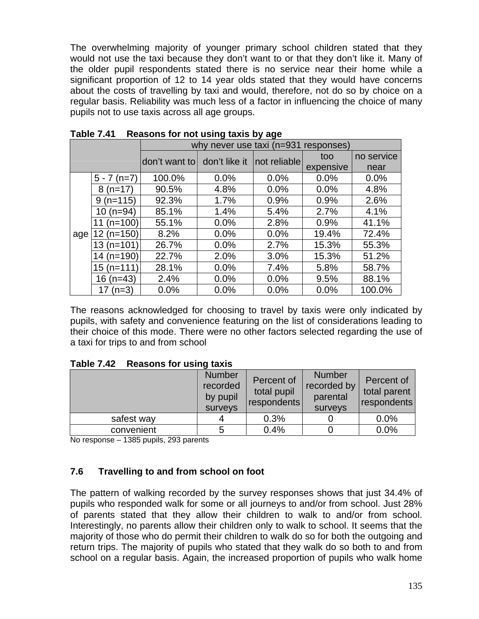The overwhelming majority of younger primary school children stated that they would not use the taxi because they don't want to or that they don't like it. Many of the older pupil respondents stated there is no service near their home while a significant proportion of 12 to 14 year olds stated that they would have concerns about the costs of travelling by taxi and would, therefore, not do so by choice on a regular basis. Reliability was much less of a factor in influencing the choice of many pupils not to use taxis across all age groups.

|     |                 | why never use taxi (n=931 responses) |               |               |           |            |  |
|-----|-----------------|--------------------------------------|---------------|---------------|-----------|------------|--|
|     |                 | don't want to                        | don't like it | Inot reliable | too       | no service |  |
|     |                 |                                      |               |               | expensive | near       |  |
|     | $5 - 7(n=7)$    | 100.0%                               | 0.0%          | 0.0%          | 0.0%      | 0.0%       |  |
|     | $8(n=17)$       | 90.5%                                | 4.8%          | 0.0%          | 0.0%      | 4.8%       |  |
|     | $(n=115)$<br>9  | 92.3%                                | 1.7%          | 0.9%          | 0.9%      | 2.6%       |  |
|     | $10(n=94)$      | 85.1%                                | 1.4%          | 5.4%          | 2.7%      | 4.1%       |  |
|     | $(n=100)$<br>11 | 55.1%                                | 0.0%          | 2.8%          | 0.9%      | 41.1%      |  |
| age | $(n=150)$<br>12 | 8.2%                                 | 0.0%          | 0.0%          | 19.4%     | 72.4%      |  |
|     | $13(n=101)$     | 26.7%                                | 0.0%          | 2.7%          | 15.3%     | 55.3%      |  |
|     | $14$ (n=190)    | 22.7%                                | 2.0%          | 3.0%          | 15.3%     | 51.2%      |  |
|     | 15 (n=111)      | 28.1%                                | 0.0%          | 7.4%          | 5.8%      | 58.7%      |  |
|     | $16(n=43)$      | 2.4%                                 | 0.0%          | 0.0%          | 9.5%      | 88.1%      |  |
|     | $(n=3)$<br>17   | 0.0%                                 | 0.0%          | 0.0%          | 0.0%      | 100.0%     |  |

|  | Table 7.41 Reasons for not using taxis by age |  |  |  |  |
|--|-----------------------------------------------|--|--|--|--|
|--|-----------------------------------------------|--|--|--|--|

The reasons acknowledged for choosing to travel by taxis were only indicated by pupils, with safety and convenience featuring on the list of considerations leading to their choice of this mode. There were no other factors selected regarding the use of a taxi for trips to and from school

| Table 7.42 Reasons for using taxis |  |
|------------------------------------|--|
|------------------------------------|--|

|            | <b>Number</b><br>recorded<br>by pupil<br>surveys | Percent of<br>total pupil<br>respondents | <b>Number</b><br>recorded by<br>parental<br>surveys | Percent of<br>total parent<br>respondents |
|------------|--------------------------------------------------|------------------------------------------|-----------------------------------------------------|-------------------------------------------|
| safest way |                                                  | 0.3%                                     |                                                     | 0.0%                                      |
| convenient | 5                                                | 0.4%                                     |                                                     | 0.0%                                      |

No response – 1385 pupils, 293 parents

# **7.6 Travelling to and from school on foot**

The pattern of walking recorded by the survey responses shows that just 34.4% of pupils who responded walk for some or all journeys to and/or from school. Just 28% of parents stated that they allow their children to walk to and/or from school. Interestingly, no parents allow their children only to walk to school. It seems that the majority of those who do permit their children to walk do so for both the outgoing and return trips. The majority of pupils who stated that they walk do so both to and from school on a regular basis. Again, the increased proportion of pupils who walk home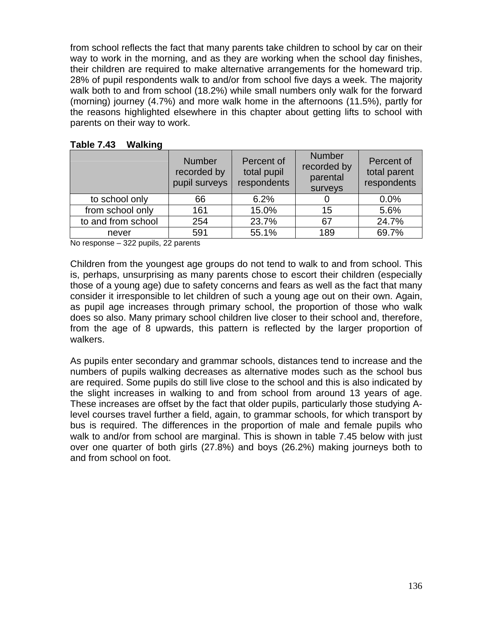from school reflects the fact that many parents take children to school by car on their way to work in the morning, and as they are working when the school day finishes, their children are required to make alternative arrangements for the homeward trip. 28% of pupil respondents walk to and/or from school five days a week. The majority walk both to and from school (18.2%) while small numbers only walk for the forward (morning) journey (4.7%) and more walk home in the afternoons (11.5%), partly for the reasons highlighted elsewhere in this chapter about getting lifts to school with parents on their way to work.

|                    | <b>Number</b><br>recorded by<br>pupil surveys | Percent of<br>total pupil<br>respondents | <b>Number</b><br>recorded by<br>parental<br>surveys | Percent of<br>total parent<br>respondents |
|--------------------|-----------------------------------------------|------------------------------------------|-----------------------------------------------------|-------------------------------------------|
| to school only     | 66                                            | 6.2%                                     |                                                     | 0.0%                                      |
| from school only   | 161                                           | 15.0%                                    | 15                                                  | 5.6%                                      |
| to and from school | 254                                           | 23.7%                                    | 67                                                  | 24.7%                                     |
| never              | 591                                           | 55.1%                                    | 189                                                 | 69.7%                                     |

**Table 7.43 Walking** 

No response – 322 pupils, 22 parents

Children from the youngest age groups do not tend to walk to and from school. This is, perhaps, unsurprising as many parents chose to escort their children (especially those of a young age) due to safety concerns and fears as well as the fact that many consider it irresponsible to let children of such a young age out on their own. Again, as pupil age increases through primary school, the proportion of those who walk does so also. Many primary school children live closer to their school and, therefore, from the age of 8 upwards, this pattern is reflected by the larger proportion of walkers.

As pupils enter secondary and grammar schools, distances tend to increase and the numbers of pupils walking decreases as alternative modes such as the school bus are required. Some pupils do still live close to the school and this is also indicated by the slight increases in walking to and from school from around 13 years of age. These increases are offset by the fact that older pupils, particularly those studying Alevel courses travel further a field, again, to grammar schools, for which transport by bus is required. The differences in the proportion of male and female pupils who walk to and/or from school are marginal. This is shown in table 7.45 below with just over one quarter of both girls (27.8%) and boys (26.2%) making journeys both to and from school on foot.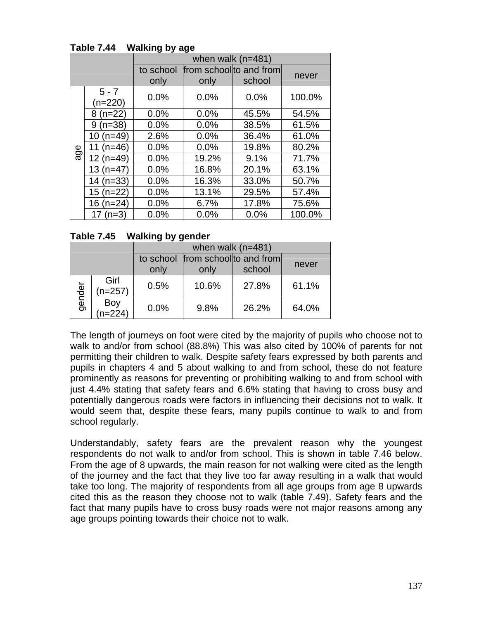|     | •ວ • • • • • •<br>when walk $(n=481)$                          |      |       |       |        |  |  |
|-----|----------------------------------------------------------------|------|-------|-------|--------|--|--|
|     | from school to and from<br>to school<br>school<br>only<br>only |      |       |       |        |  |  |
|     | $5 - 7$<br>$(n=220)$                                           | 0.0% | 0.0%  | 0.0%  | 100.0% |  |  |
|     | $8(n=22)$                                                      | 0.0% | 0.0%  | 45.5% | 54.5%  |  |  |
|     | $9(n=38)$                                                      | 0.0% | 0.0%  | 38.5% | 61.5%  |  |  |
|     | $10(n=49)$                                                     | 2.6% | 0.0%  | 36.4% | 61.0%  |  |  |
| age | 11 $(n=46)$                                                    | 0.0% | 0.0%  | 19.8% | 80.2%  |  |  |
|     | 12 (n=49)                                                      | 0.0% | 19.2% | 9.1%  | 71.7%  |  |  |
|     | $13(n=47)$                                                     | 0.0% | 16.8% | 20.1% | 63.1%  |  |  |
|     | $14$ (n=33)                                                    | 0.0% | 16.3% | 33.0% | 50.7%  |  |  |
|     | $15(n=22)$                                                     | 0.0% | 13.1% | 29.5% | 57.4%  |  |  |
|     | $16$ (n=24)                                                    | 0.0% | 6.7%  | 17.8% | 75.6%  |  |  |
|     | 17 $(n=3)$                                                     | 0.0% | 0.0%  | 0.0%  | 100.0% |  |  |

### **Table 7.44 Walking by age**

### **Table 7.45 Walking by gender**

|        |                   | when walk $(n=481)$ |       |                                             |       |
|--------|-------------------|---------------------|-------|---------------------------------------------|-------|
|        |                   | only                | only  | to school from school to and from<br>school | never |
| gender | Girl<br>$(n=257)$ | 0.5%                | 10.6% | 27.8%                                       | 61.1% |
|        | Boy<br>n=224)     | 0.0%                | 9.8%  | 26.2%                                       | 64.0% |

The length of journeys on foot were cited by the majority of pupils who choose not to walk to and/or from school (88.8%) This was also cited by 100% of parents for not permitting their children to walk. Despite safety fears expressed by both parents and pupils in chapters 4 and 5 about walking to and from school, these do not feature prominently as reasons for preventing or prohibiting walking to and from school with just 4.4% stating that safety fears and 6.6% stating that having to cross busy and potentially dangerous roads were factors in influencing their decisions not to walk. It would seem that, despite these fears, many pupils continue to walk to and from school regularly.

Understandably, safety fears are the prevalent reason why the youngest respondents do not walk to and/or from school. This is shown in table 7.46 below. From the age of 8 upwards, the main reason for not walking were cited as the length of the journey and the fact that they live too far away resulting in a walk that would take too long. The majority of respondents from all age groups from age 8 upwards cited this as the reason they choose not to walk (table 7.49). Safety fears and the fact that many pupils have to cross busy roads were not major reasons among any age groups pointing towards their choice not to walk.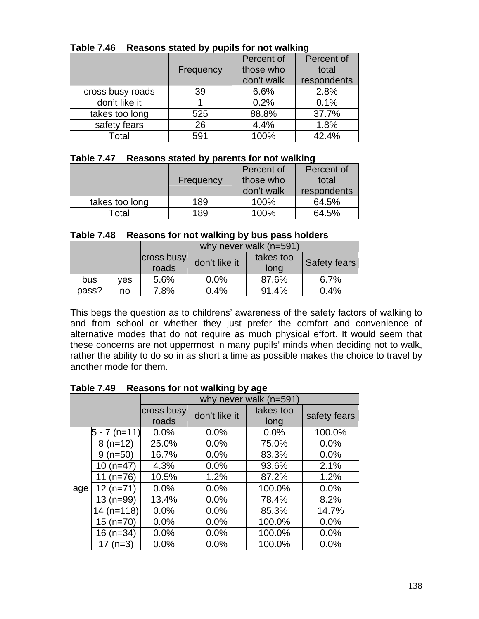|                  |           | Percent of | Percent of  |
|------------------|-----------|------------|-------------|
|                  | Frequency | those who  | total       |
|                  |           | don't walk | respondents |
| cross busy roads | 39        | 6.6%       | 2.8%        |
| don't like it    |           | 0.2%       | 0.1%        |
| takes too long   | 525       | 88.8%      | 37.7%       |
| safety fears     | 26        | 4.4%       | 1.8%        |
| Total            | 591       | 100%       | 42.4%       |

### **Table 7.46 Reasons stated by pupils for not walking**

#### **Table 7.47 Reasons stated by parents for not walking**

|                |           | Percent of | Percent of  |
|----------------|-----------|------------|-------------|
|                | Frequency | those who  | total       |
|                |           | don't walk | respondents |
| takes too long | 189       | 100%       | 64.5%       |
| Гоtal          | 189       | 100%       | 64.5%       |

#### **Table 7.48 Reasons for not walking by bus pass holders**

|       |     | why never walk (n=591) |               |                   |                     |
|-------|-----|------------------------|---------------|-------------------|---------------------|
|       |     | cross busy<br>roads    | don't like it | takes too<br>long | <b>Safety fears</b> |
| bus   | ves | 5.6%                   | $0.0\%$       | 87.6%             | $6.7\%$             |
| pass? | no  | 7.8%                   | 0.4%          | 91.4%             | 0.4%                |

This begs the question as to childrens' awareness of the safety factors of walking to and from school or whether they just prefer the comfort and convenience of alternative modes that do not require as much physical effort. It would seem that these concerns are not uppermost in many pupils' minds when deciding not to walk, rather the ability to do so in as short a time as possible makes the choice to travel by another mode for them.

|     |              | ີ ປີ ບັງ ຕະປັບ<br>why never walk (n=591) |               |                   |              |
|-----|--------------|------------------------------------------|---------------|-------------------|--------------|
|     |              | cross busy<br>roads                      | don't like it | takes too<br>long | safety fears |
|     | 5 - 7 (n=11) | 0.0%                                     | 0.0%          | 0.0%              | 100.0%       |
|     | $8(n=12)$    | 25.0%                                    | 0.0%          | 75.0%             | 0.0%         |
|     | $9(n=50)$    | 16.7%                                    | 0.0%          | 83.3%             | 0.0%         |
|     | 10 $(n=47)$  | 4.3%                                     | 0.0%          | 93.6%             | 2.1%         |
|     | 11 $(n=76)$  | 10.5%                                    | 1.2%          | 87.2%             | 1.2%         |
| age | $12(n=71)$   | 0.0%                                     | 0.0%          | 100.0%            | 0.0%         |
|     | $13(n=99)$   | 13.4%                                    | 0.0%          | 78.4%             | 8.2%         |
|     | $14(n=118)$  | 0.0%                                     | 0.0%          | 85.3%             | 14.7%        |
|     | 15 (n=70)    | 0.0%                                     | 0.0%          | 100.0%            | 0.0%         |
|     | 16 (n=34)    | 0.0%                                     | 0.0%          | 100.0%            | 0.0%         |
|     | $17(n=3)$    | 0.0%                                     | 0.0%          | 100.0%            | 0.0%         |

**Table 7.49 Reasons for not walking by age**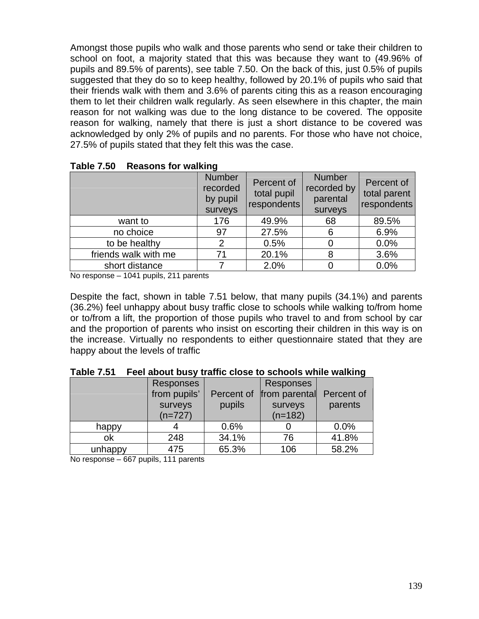Amongst those pupils who walk and those parents who send or take their children to school on foot, a majority stated that this was because they want to (49.96% of pupils and 89.5% of parents), see table 7.50. On the back of this, just 0.5% of pupils suggested that they do so to keep healthy, followed by 20.1% of pupils who said that their friends walk with them and 3.6% of parents citing this as a reason encouraging them to let their children walk regularly. As seen elsewhere in this chapter, the main reason for not walking was due to the long distance to be covered. The opposite reason for walking, namely that there is just a short distance to be covered was acknowledged by only 2% of pupils and no parents. For those who have not choice, 27.5% of pupils stated that they felt this was the case.

|                      | <b>Number</b><br>recorded<br>by pupil<br>surveys | Percent of<br>total pupil<br>respondents | <b>Number</b><br>recorded by<br>parental<br>surveys | Percent of<br>total parent<br>respondents |
|----------------------|--------------------------------------------------|------------------------------------------|-----------------------------------------------------|-------------------------------------------|
| want to              | 176                                              | 49.9%                                    | 68                                                  | 89.5%                                     |
| no choice            | 97                                               | 27.5%                                    | 6                                                   | 6.9%                                      |
| to be healthy        | 2                                                | 0.5%                                     | 0                                                   | 0.0%                                      |
| friends walk with me | 71                                               | 20.1%                                    | 8                                                   | 3.6%                                      |
| short distance       |                                                  | 2.0%                                     | 0                                                   | 0.0%                                      |

**Table 7.50 Reasons for walking** 

No response – 1041 pupils, 211 parents

Despite the fact, shown in table 7.51 below, that many pupils (34.1%) and parents (36.2%) feel unhappy about busy traffic close to schools while walking to/from home or to/from a lift, the proportion of those pupils who travel to and from school by car and the proportion of parents who insist on escorting their children in this way is on the increase. Virtually no respondents to either questionnaire stated that they are happy about the levels of traffic

|         | <b>Responses</b> |            | <b>Responses</b> |            |
|---------|------------------|------------|------------------|------------|
|         | from pupils'     | Percent of | from parental    | Percent of |
|         | surveys          | pupils     | surveys          | parents    |
|         | $(n=727)$        |            | $(n=182)$        |            |
| happy   |                  | 0.6%       |                  | 0.0%       |
| ok      | 248              | 34.1%      | 76               | 41.8%      |
| unhappy | 475              | 65.3%      | 106              | 58.2%      |

| <b>Table 7.51</b> | Feel about busy traffic close to schools while walking |  |  |  |
|-------------------|--------------------------------------------------------|--|--|--|
|-------------------|--------------------------------------------------------|--|--|--|

No response – 667 pupils, 111 parents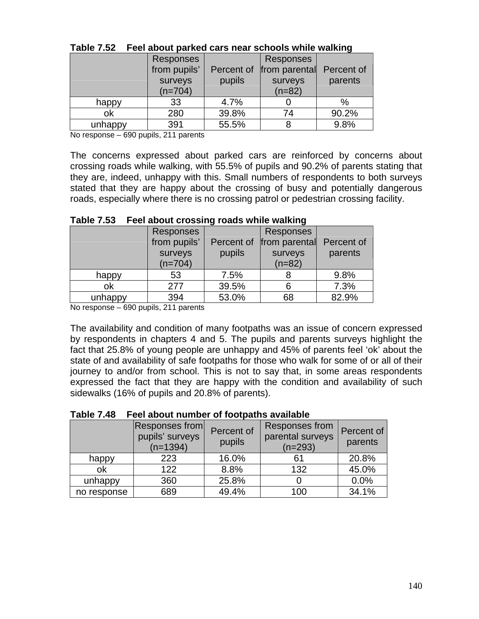|         | <b>Responses</b><br>from pupils'<br>surveys | Percent of<br>pupils | <b>Responses</b><br>from parental<br>surveys | Percent of<br>parents |
|---------|---------------------------------------------|----------------------|----------------------------------------------|-----------------------|
| happy   | $(n=704)$<br>33                             | 4.7%                 | $(n=82)$                                     | $\%$                  |
| οk      | 280                                         | 39.8%                | 74                                           | 90.2%                 |
| unhappy | 391                                         | 55.5%                |                                              | 9.8%                  |

| Table 7.52 Feel about parked cars near schools while walking |
|--------------------------------------------------------------|
|--------------------------------------------------------------|

No response – 690 pupils, 211 parents

The concerns expressed about parked cars are reinforced by concerns about crossing roads while walking, with 55.5% of pupils and 90.2% of parents stating that they are, indeed, unhappy with this. Small numbers of respondents to both surveys stated that they are happy about the crossing of busy and potentially dangerous roads, especially where there is no crossing patrol or pedestrian crossing facility.

|         | <b>Responses</b> |            | Responses     |            |
|---------|------------------|------------|---------------|------------|
|         | from pupils'     | Percent of | from parental | Percent of |
|         | surveys          | pupils     | surveys       | parents    |
|         | $(n=704)$        |            | $(n=82)$      |            |
| happy   | 53               | 7.5%       |               | 9.8%       |
| ok      | 277              | 39.5%      | 6             | 7.3%       |
| unhappy | 394              | 53.0%      | 68            | 82.9%      |

### **Table 7.53 Feel about crossing roads while walking**

No response – 690 pupils, 211 parents

The availability and condition of many footpaths was an issue of concern expressed by respondents in chapters 4 and 5. The pupils and parents surveys highlight the fact that 25.8% of young people are unhappy and 45% of parents feel 'ok' about the state of and availability of safe footpaths for those who walk for some of or all of their journey to and/or from school. This is not to say that, in some areas respondents expressed the fact that they are happy with the condition and availability of such sidewalks (16% of pupils and 20.8% of parents).

|  | Table 7.48 Feel about number of footpaths available |  |  |  |
|--|-----------------------------------------------------|--|--|--|
|--|-----------------------------------------------------|--|--|--|

|             | Responses from<br>pupils' surveys<br>$(n=1394)$ | Percent of<br>pupils | Responses from<br>parental surveys<br>$(n=293)$ | Percent of<br>parents |
|-------------|-------------------------------------------------|----------------------|-------------------------------------------------|-----------------------|
| happy       | 223                                             | 16.0%                | 61                                              | 20.8%                 |
| ok          | 122                                             | 8.8%                 | 132                                             | 45.0%                 |
| unhappy     | 360                                             | 25.8%                |                                                 | 0.0%                  |
| no response | 689                                             | 49.4%                | 100                                             | 34.1%                 |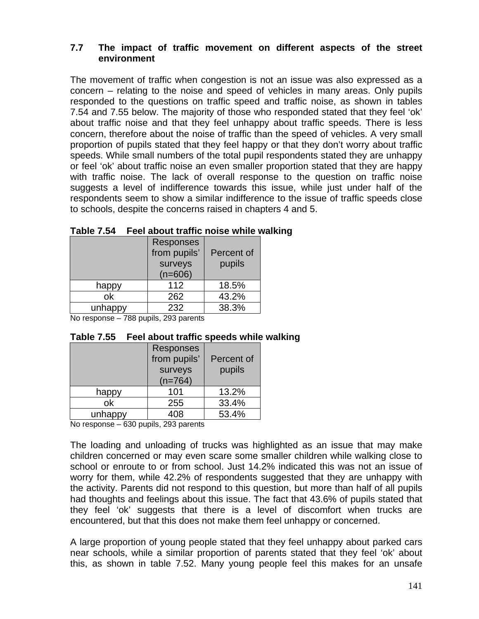### **7.7 The impact of traffic movement on different aspects of the street environment**

The movement of traffic when congestion is not an issue was also expressed as a concern – relating to the noise and speed of vehicles in many areas. Only pupils responded to the questions on traffic speed and traffic noise, as shown in tables 7.54 and 7.55 below. The majority of those who responded stated that they feel 'ok' about traffic noise and that they feel unhappy about traffic speeds. There is less concern, therefore about the noise of traffic than the speed of vehicles. A very small proportion of pupils stated that they feel happy or that they don't worry about traffic speeds. While small numbers of the total pupil respondents stated they are unhappy or feel 'ok' about traffic noise an even smaller proportion stated that they are happy with traffic noise. The lack of overall response to the question on traffic noise suggests a level of indifference towards this issue, while just under half of the respondents seem to show a similar indifference to the issue of traffic speeds close to schools, despite the concerns raised in chapters 4 and 5.

|         | Responses    |            |  |  |  |
|---------|--------------|------------|--|--|--|
|         | from pupils' | Percent of |  |  |  |
|         | surveys      | pupils     |  |  |  |
|         | $(n=606)$    |            |  |  |  |
| happy   | 112          | 18.5%      |  |  |  |
| ok      | 262          | 43.2%      |  |  |  |
| unhappy | 232          | 38.3%      |  |  |  |

### **Table 7.54 Feel about traffic noise while walking**

No response – 788 pupils, 293 parents

### **Table 7.55 Feel about traffic speeds while walking**

|         | Responses<br>from pupils'<br>surveys<br>$(n=764)$ | Percent of<br>pupils |
|---------|---------------------------------------------------|----------------------|
| happy   | 101                                               | 13.2%                |
| ok      | 255                                               | 33.4%                |
| unhappy | 108                                               | 53.4%                |

No response – 630 pupils, 293 parents

The loading and unloading of trucks was highlighted as an issue that may make children concerned or may even scare some smaller children while walking close to school or enroute to or from school. Just 14.2% indicated this was not an issue of worry for them, while 42.2% of respondents suggested that they are unhappy with the activity. Parents did not respond to this question, but more than half of all pupils had thoughts and feelings about this issue. The fact that 43.6% of pupils stated that they feel 'ok' suggests that there is a level of discomfort when trucks are encountered, but that this does not make them feel unhappy or concerned.

A large proportion of young people stated that they feel unhappy about parked cars near schools, while a similar proportion of parents stated that they feel 'ok' about this, as shown in table 7.52. Many young people feel this makes for an unsafe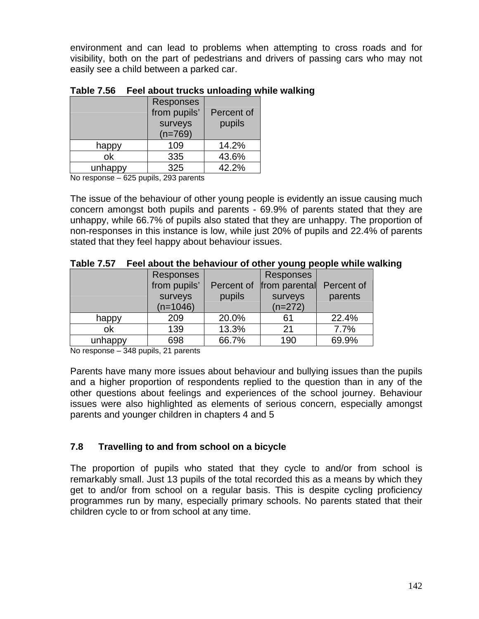environment and can lead to problems when attempting to cross roads and for visibility, both on the part of pedestrians and drivers of passing cars who may not easily see a child between a parked car.

|         | <b>Responses</b><br>from pupils'<br>surveys<br>$(n=769)$ | Percent of<br>pupils |
|---------|----------------------------------------------------------|----------------------|
| happy   | 109                                                      | 14.2%                |
| ok      | 335                                                      | 43.6%                |
| unhappy | 325                                                      | 42.2%                |

### **Table 7.56 Feel about trucks unloading while walking**

No response – 625 pupils, 293 parents

The issue of the behaviour of other young people is evidently an issue causing much concern amongst both pupils and parents - 69.9% of parents stated that they are unhappy, while 66.7% of pupils also stated that they are unhappy. The proportion of non-responses in this instance is low, while just 20% of pupils and 22.4% of parents stated that they feel happy about behaviour issues.

|         | <b>Responses</b> |            | <b>Responses</b> |            |
|---------|------------------|------------|------------------|------------|
|         | from pupils'     | Percent of | from parental    | Percent of |
|         | surveys          | pupils     | surveys          | parents    |
|         | $(n=1046)$       |            | $(n=272)$        |            |
| happy   | 209              | 20.0%      | 61               | 22.4%      |
| ok      | 139              | 13.3%      | 21               | 7.7%       |
| unhappy | 698              | 66.7%      | 190              | 69.9%      |

|  | Table 7.57 Feel about the behaviour of other young people while walking |  |  |  |
|--|-------------------------------------------------------------------------|--|--|--|
|--|-------------------------------------------------------------------------|--|--|--|

No response – 348 pupils, 21 parents

Parents have many more issues about behaviour and bullying issues than the pupils and a higher proportion of respondents replied to the question than in any of the other questions about feelings and experiences of the school journey. Behaviour issues were also highlighted as elements of serious concern, especially amongst parents and younger children in chapters 4 and 5

# **7.8 Travelling to and from school on a bicycle**

The proportion of pupils who stated that they cycle to and/or from school is remarkably small. Just 13 pupils of the total recorded this as a means by which they get to and/or from school on a regular basis. This is despite cycling proficiency programmes run by many, especially primary schools. No parents stated that their children cycle to or from school at any time.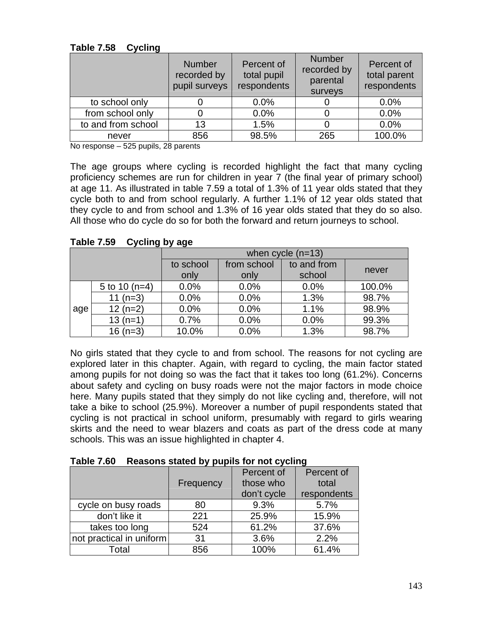|                    | <b>Number</b><br>recorded by<br>pupil surveys | Percent of<br>total pupil<br>respondents | <b>Number</b><br>recorded by<br>parental<br>surveys | Percent of<br>total parent<br>respondents |
|--------------------|-----------------------------------------------|------------------------------------------|-----------------------------------------------------|-------------------------------------------|
| to school only     |                                               | 0.0%                                     |                                                     | 0.0%                                      |
| from school only   |                                               | 0.0%                                     |                                                     | 0.0%                                      |
| to and from school | 13                                            | 1.5%                                     |                                                     | 0.0%                                      |
| never              | 856                                           | 98.5%                                    | 265                                                 | 100.0%                                    |

### **Table 7.58 Cycling**

No response – 525 pupils, 28 parents

The age groups where cycling is recorded highlight the fact that many cycling proficiency schemes are run for children in year 7 (the final year of primary school) at age 11. As illustrated in table 7.59 a total of 1.3% of 11 year olds stated that they cycle both to and from school regularly. A further 1.1% of 12 year olds stated that they cycle to and from school and 1.3% of 16 year olds stated that they do so also. All those who do cycle do so for both the forward and return journeys to school.

|     |                 | when $cycle (n=13)$ |             |                       |        |
|-----|-----------------|---------------------|-------------|-----------------------|--------|
|     |                 | to school           | from school | to and from<br>school | never  |
|     |                 | only                | only        |                       |        |
|     | 5 to 10 $(n=4)$ | 0.0%                | 0.0%        | 0.0%                  | 100.0% |
|     | 11 $(n=3)$      | 0.0%                | 0.0%        | 1.3%                  | 98.7%  |
| age | $12(n=2)$       | 0.0%                | 0.0%        | 1.1%                  | 98.9%  |
|     | $13(n=1)$       | 0.7%                | 0.0%        | 0.0%                  | 99.3%  |
|     | $16(n=3)$       | 10.0%               | 0.0%        | 1.3%                  | 98.7%  |

**Table 7.59 Cycling by age** 

No girls stated that they cycle to and from school. The reasons for not cycling are explored later in this chapter. Again, with regard to cycling, the main factor stated among pupils for not doing so was the fact that it takes too long (61.2%). Concerns about safety and cycling on busy roads were not the major factors in mode choice here. Many pupils stated that they simply do not like cycling and, therefore, will not take a bike to school (25.9%). Moreover a number of pupil respondents stated that cycling is not practical in school uniform, presumably with regard to girls wearing skirts and the need to wear blazers and coats as part of the dress code at many schools. This was an issue highlighted in chapter 4.

|  | Table 7.60 Reasons stated by pupils for not cycling |
|--|-----------------------------------------------------|
|--|-----------------------------------------------------|

|                          |           | Percent of  | Percent of  |
|--------------------------|-----------|-------------|-------------|
|                          | Frequency | those who   | total       |
|                          |           | don't cycle | respondents |
| cycle on busy roads      | 80        | 9.3%        | 5.7%        |
| don't like it            | 221       | 25.9%       | 15.9%       |
| takes too long           | 524       | 61.2%       | 37.6%       |
| not practical in uniform | 31        | 3.6%        | 2.2%        |
| Total                    | 856       | 100%        | 61.4%       |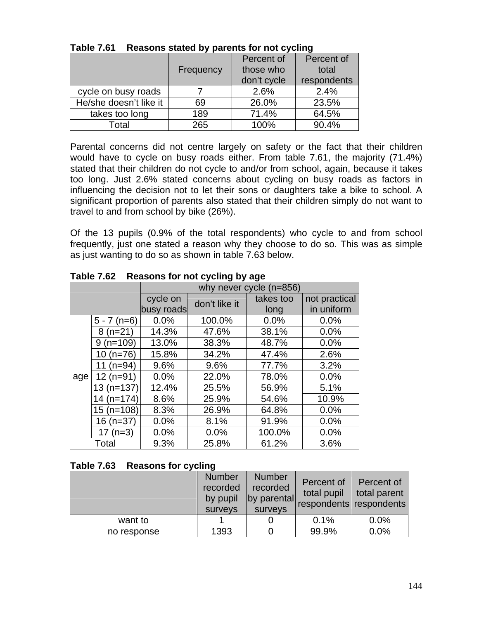|                        |           | Percent of  | Percent of  |
|------------------------|-----------|-------------|-------------|
|                        | Frequency | those who   | total       |
|                        |           | don't cycle | respondents |
| cycle on busy roads    |           | 2.6%        | 2.4%        |
| He/she doesn't like it | 69        | 26.0%       | 23.5%       |
| takes too long         | 189       | 71.4%       | 64.5%       |
| Total                  | 265       | 100%        | 90.4%       |

**Table 7.61 Reasons stated by parents for not cycling** 

Parental concerns did not centre largely on safety or the fact that their children would have to cycle on busy roads either. From table 7.61, the majority (71.4%) stated that their children do not cycle to and/or from school, again, because it takes too long. Just 2.6% stated concerns about cycling on busy roads as factors in influencing the decision not to let their sons or daughters take a bike to school. A significant proportion of parents also stated that their children simply do not want to travel to and from school by bike (26%).

Of the 13 pupils (0.9% of the total respondents) who cycle to and from school frequently, just one stated a reason why they choose to do so. This was as simple as just wanting to do so as shown in table 7.63 below.

|     |               |            | 1.00000101011000        |           |               |  |  |
|-----|---------------|------------|-------------------------|-----------|---------------|--|--|
|     |               |            | why never cycle (n=856) |           |               |  |  |
|     |               | cycle on   | don't like it           | takes too | not practical |  |  |
|     |               | busy roads |                         | long      | in uniform    |  |  |
|     | $5 - 7$ (n=6) | 0.0%       | 100.0%                  | 0.0%      | 0.0%          |  |  |
|     | $8(n=21)$     | 14.3%      | 47.6%                   | 38.1%     | 0.0%          |  |  |
|     | $9(n=109)$    | 13.0%      | 38.3%                   | 48.7%     | 0.0%          |  |  |
|     | $10(n=76)$    | 15.8%      | 34.2%                   | 47.4%     | 2.6%          |  |  |
|     | 11 $(n=94)$   | 9.6%       | 9.6%                    | 77.7%     | 3.2%          |  |  |
| age | $12(n=91)$    | 0.0%       | 22.0%                   | 78.0%     | 0.0%          |  |  |
|     | $13(n=137)$   | 12.4%      | 25.5%                   | 56.9%     | 5.1%          |  |  |
|     | $14(n=174)$   | 8.6%       | 25.9%                   | 54.6%     | 10.9%         |  |  |
|     | $15(n=108)$   | 8.3%       | 26.9%                   | 64.8%     | 0.0%          |  |  |
|     | $16$ (n=37)   | 0.0%       | 8.1%                    | 91.9%     | 0.0%          |  |  |
|     | $17$ (n=3)    | 0.0%       | 0.0%                    | 100.0%    | 0.0%          |  |  |
|     | Total         | 9.3%       | 25.8%                   | 61.2%     | 3.6%          |  |  |

**Table 7.62 Reasons for not cycling by age** 

# **Table 7.63 Reasons for cycling**

|             | <b>Number</b><br>recorded<br>by pupil<br>surveys | <b>Number</b><br>recorded<br>by parental<br>surveys | Percent of<br>total pupil<br>respondents respondents | Percent of<br>total parent |
|-------------|--------------------------------------------------|-----------------------------------------------------|------------------------------------------------------|----------------------------|
| want to     |                                                  |                                                     | 0.1%                                                 | 0.0%                       |
| no response | 1393                                             |                                                     | 99.9%                                                | 0.0%                       |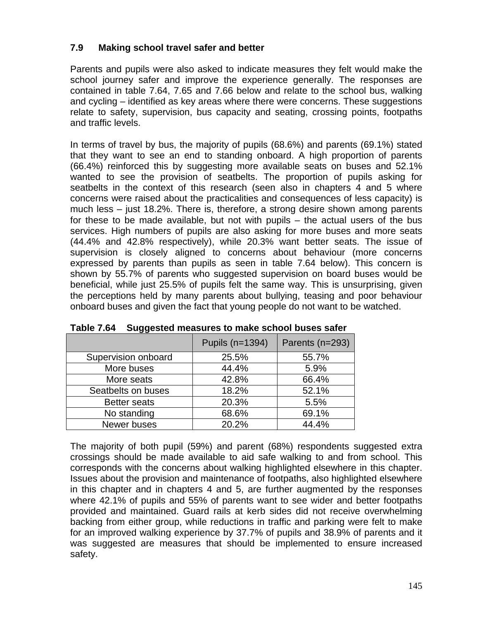# **7.9 Making school travel safer and better**

Parents and pupils were also asked to indicate measures they felt would make the school journey safer and improve the experience generally. The responses are contained in table 7.64, 7.65 and 7.66 below and relate to the school bus, walking and cycling – identified as key areas where there were concerns. These suggestions relate to safety, supervision, bus capacity and seating, crossing points, footpaths and traffic levels.

In terms of travel by bus, the majority of pupils (68.6%) and parents (69.1%) stated that they want to see an end to standing onboard. A high proportion of parents (66.4%) reinforced this by suggesting more available seats on buses and 52.1% wanted to see the provision of seatbelts. The proportion of pupils asking for seatbelts in the context of this research (seen also in chapters 4 and 5 where concerns were raised about the practicalities and consequences of less capacity) is much less – just 18.2%. There is, therefore, a strong desire shown among parents for these to be made available, but not with pupils – the actual users of the bus services. High numbers of pupils are also asking for more buses and more seats (44.4% and 42.8% respectively), while 20.3% want better seats. The issue of supervision is closely aligned to concerns about behaviour (more concerns expressed by parents than pupils as seen in table 7.64 below). This concern is shown by 55.7% of parents who suggested supervision on board buses would be beneficial, while just 25.5% of pupils felt the same way. This is unsurprising, given the perceptions held by many parents about bullying, teasing and poor behaviour onboard buses and given the fact that young people do not want to be watched.

|                     | Pupils (n=1394) | Parents (n=293) |
|---------------------|-----------------|-----------------|
| Supervision onboard | 25.5%           | 55.7%           |
| More buses          | 44.4%           | 5.9%            |
| More seats          | 42.8%           | 66.4%           |
| Seatbelts on buses  | 18.2%           | 52.1%           |
| <b>Better seats</b> | 20.3%           | 5.5%            |
| No standing         | 68.6%           | 69.1%           |
| Newer buses         | 20.2%           | 44.4%           |

**Table 7.64 Suggested measures to make school buses safer** 

The majority of both pupil (59%) and parent (68%) respondents suggested extra crossings should be made available to aid safe walking to and from school. This corresponds with the concerns about walking highlighted elsewhere in this chapter. Issues about the provision and maintenance of footpaths, also highlighted elsewhere in this chapter and in chapters 4 and 5, are further augmented by the responses where 42.1% of pupils and 55% of parents want to see wider and better footpaths provided and maintained. Guard rails at kerb sides did not receive overwhelming backing from either group, while reductions in traffic and parking were felt to make for an improved walking experience by 37.7% of pupils and 38.9% of parents and it was suggested are measures that should be implemented to ensure increased safety.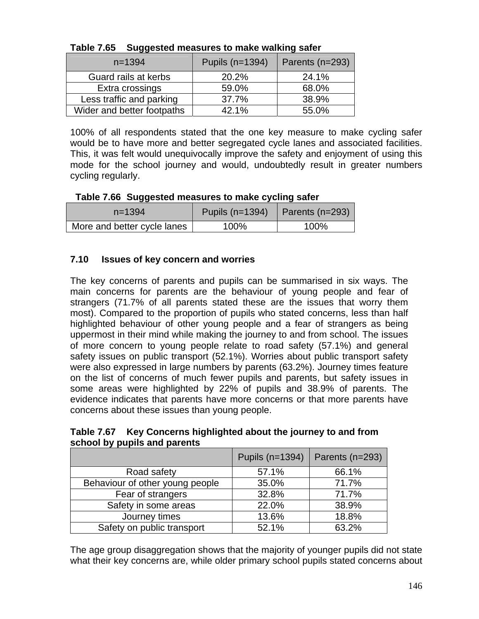| $n = 1394$                 | Pupils (n=1394) | Parents (n=293) |
|----------------------------|-----------------|-----------------|
| Guard rails at kerbs       | 20.2%           | 24.1%           |
| Extra crossings            | 59.0%           | 68.0%           |
| Less traffic and parking   | 37.7%           | 38.9%           |
| Wider and better footpaths | 42.1%           | 55.0%           |

|  | Table 7.65 Suggested measures to make walking safer |
|--|-----------------------------------------------------|
|--|-----------------------------------------------------|

100% of all respondents stated that the one key measure to make cycling safer would be to have more and better segregated cycle lanes and associated facilities. This, it was felt would unequivocally improve the safety and enjoyment of using this mode for the school journey and would, undoubtedly result in greater numbers cycling regularly.

| Table 7.66 Suggested measures to make cycling safer |  |  |  |  |  |
|-----------------------------------------------------|--|--|--|--|--|
|-----------------------------------------------------|--|--|--|--|--|

| $n = 1394$                  | Pupils $(n=1394)$ | Parents (n=293) |
|-----------------------------|-------------------|-----------------|
| More and better cycle lanes | 100%              | 100%            |

# **7.10 Issues of key concern and worries**

The key concerns of parents and pupils can be summarised in six ways. The main concerns for parents are the behaviour of young people and fear of strangers (71.7% of all parents stated these are the issues that worry them most). Compared to the proportion of pupils who stated concerns, less than half highlighted behaviour of other young people and a fear of strangers as being uppermost in their mind while making the journey to and from school. The issues of more concern to young people relate to road safety (57.1%) and general safety issues on public transport (52.1%). Worries about public transport safety were also expressed in large numbers by parents (63.2%). Journey times feature on the list of concerns of much fewer pupils and parents, but safety issues in some areas were highlighted by 22% of pupils and 38.9% of parents. The evidence indicates that parents have more concerns or that more parents have concerns about these issues than young people.

**Table 7.67 Key Concerns highlighted about the journey to and from school by pupils and parents** 

|                                 | Pupils (n=1394) | Parents (n=293) |
|---------------------------------|-----------------|-----------------|
| Road safety                     | 57.1%           | 66.1%           |
| Behaviour of other young people | 35.0%           | 71.7%           |
| Fear of strangers               | 32.8%           | 71.7%           |
| Safety in some areas            | 22.0%           | 38.9%           |
| Journey times                   | 13.6%           | 18.8%           |
| Safety on public transport      | 52.1%           | 63.2%           |

The age group disaggregation shows that the majority of younger pupils did not state what their key concerns are, while older primary school pupils stated concerns about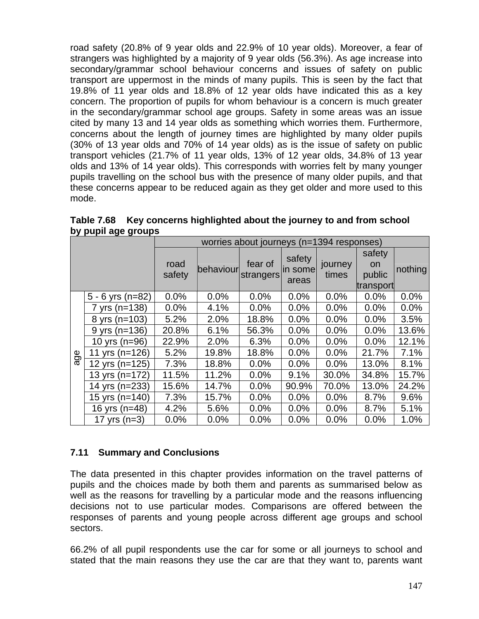road safety (20.8% of 9 year olds and 22.9% of 10 year olds). Moreover, a fear of strangers was highlighted by a majority of 9 year olds (56.3%). As age increase into secondary/grammar school behaviour concerns and issues of safety on public transport are uppermost in the minds of many pupils. This is seen by the fact that 19.8% of 11 year olds and 18.8% of 12 year olds have indicated this as a key concern. The proportion of pupils for whom behaviour is a concern is much greater in the secondary/grammar school age groups. Safety in some areas was an issue cited by many 13 and 14 year olds as something which worries them. Furthermore, concerns about the length of journey times are highlighted by many older pupils (30% of 13 year olds and 70% of 14 year olds) as is the issue of safety on public transport vehicles (21.7% of 11 year olds, 13% of 12 year olds, 34.8% of 13 year olds and 13% of 14 year olds). This corresponds with worries felt by many younger pupils travelling on the school bus with the presence of many older pupils, and that these concerns appear to be reduced again as they get older and more used to this mode.

|     |                    | worries about journeys (n=1394 responses) |           |                      |                            |                  |                               |         |
|-----|--------------------|-------------------------------------------|-----------|----------------------|----------------------------|------------------|-------------------------------|---------|
|     |                    | road<br>safety                            | behaviour | fear of<br>strangers | safety<br>in some<br>areas | journey<br>times | safety<br><b>on</b><br>public | nothing |
|     |                    |                                           |           |                      |                            |                  | transport                     |         |
|     | $5 - 6$ yrs (n=82) | 0.0%                                      | 0.0%      | 0.0%                 | 0.0%                       | 0.0%             | 0.0%                          | 0.0%    |
| age | 7 yrs (n=138)      | 0.0%                                      | 4.1%      | 0.0%                 | 0.0%                       | 0.0%             | 0.0%                          | 0.0%    |
|     | 8 yrs (n=103)      | 5.2%                                      | 2.0%      | 18.8%                | 0.0%                       | 0.0%             | 0.0%                          | 3.5%    |
|     | $9$ yrs (n=136)    | 20.8%                                     | 6.1%      | 56.3%                | 0.0%                       | 0.0%             | 0.0%                          | 13.6%   |
|     | 10 yrs (n=96)      | 22.9%                                     | 2.0%      | 6.3%                 | 0.0%                       | 0.0%             | 0.0%                          | 12.1%   |
|     | 11 yrs $(n=126)$   | 5.2%                                      | 19.8%     | 18.8%                | 0.0%                       | 0.0%             | 21.7%                         | 7.1%    |
|     | 12 yrs $(n=125)$   | 7.3%                                      | 18.8%     | 0.0%                 | 0.0%                       | 0.0%             | 13.0%                         | 8.1%    |
|     | 13 yrs (n=172)     | 11.5%                                     | 11.2%     | 0.0%                 | 9.1%                       | 30.0%            | 34.8%                         | 15.7%   |
|     | 14 yrs (n=233)     | 15.6%                                     | 14.7%     | 0.0%                 | 90.9%                      | 70.0%            | 13.0%                         | 24.2%   |
|     | 15 yrs (n=140)     | 7.3%                                      | 15.7%     | 0.0%                 | 0.0%                       | 0.0%             | 8.7%                          | 9.6%    |
|     | 16 yrs (n=48)      | 4.2%                                      | 5.6%      | 0.0%                 | 0.0%                       | 0.0%             | 8.7%                          | 5.1%    |
|     | 17 yrs $(n=3)$     | 0.0%                                      | 0.0%      | 0.0%                 | 0.0%                       | 0.0%             | 0.0%                          | 1.0%    |

**Table 7.68 Key concerns highlighted about the journey to and from school by pupil age groups** 

# **7.11 Summary and Conclusions**

The data presented in this chapter provides information on the travel patterns of pupils and the choices made by both them and parents as summarised below as well as the reasons for travelling by a particular mode and the reasons influencing decisions not to use particular modes. Comparisons are offered between the responses of parents and young people across different age groups and school sectors.

66.2% of all pupil respondents use the car for some or all journeys to school and stated that the main reasons they use the car are that they want to, parents want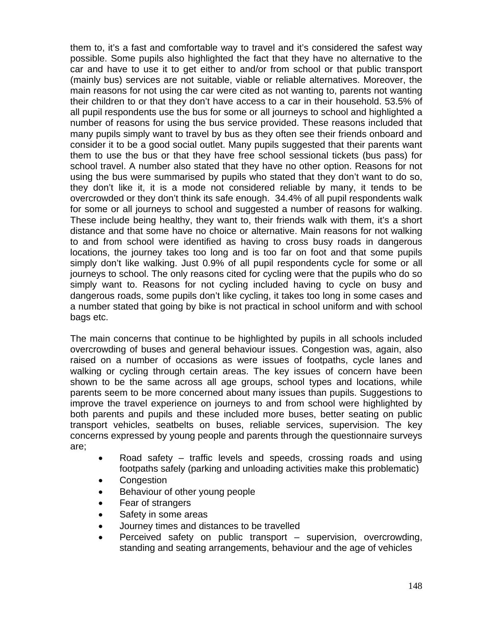them to, it's a fast and comfortable way to travel and it's considered the safest way possible. Some pupils also highlighted the fact that they have no alternative to the car and have to use it to get either to and/or from school or that public transport (mainly bus) services are not suitable, viable or reliable alternatives. Moreover, the main reasons for not using the car were cited as not wanting to, parents not wanting their children to or that they don't have access to a car in their household. 53.5% of all pupil respondents use the bus for some or all journeys to school and highlighted a number of reasons for using the bus service provided. These reasons included that many pupils simply want to travel by bus as they often see their friends onboard and consider it to be a good social outlet. Many pupils suggested that their parents want them to use the bus or that they have free school sessional tickets (bus pass) for school travel. A number also stated that they have no other option. Reasons for not using the bus were summarised by pupils who stated that they don't want to do so, they don't like it, it is a mode not considered reliable by many, it tends to be overcrowded or they don't think its safe enough. 34.4% of all pupil respondents walk for some or all journeys to school and suggested a number of reasons for walking. These include being healthy, they want to, their friends walk with them, it's a short distance and that some have no choice or alternative. Main reasons for not walking to and from school were identified as having to cross busy roads in dangerous locations, the journey takes too long and is too far on foot and that some pupils simply don't like walking. Just 0.9% of all pupil respondents cycle for some or all journeys to school. The only reasons cited for cycling were that the pupils who do so simply want to. Reasons for not cycling included having to cycle on busy and dangerous roads, some pupils don't like cycling, it takes too long in some cases and a number stated that going by bike is not practical in school uniform and with school bags etc.

The main concerns that continue to be highlighted by pupils in all schools included overcrowding of buses and general behaviour issues. Congestion was, again, also raised on a number of occasions as were issues of footpaths, cycle lanes and walking or cycling through certain areas. The key issues of concern have been shown to be the same across all age groups, school types and locations, while parents seem to be more concerned about many issues than pupils. Suggestions to improve the travel experience on journeys to and from school were highlighted by both parents and pupils and these included more buses, better seating on public transport vehicles, seatbelts on buses, reliable services, supervision. The key concerns expressed by young people and parents through the questionnaire surveys are;

- Road safety traffic levels and speeds, crossing roads and using footpaths safely (parking and unloading activities make this problematic)
- **Congestion**
- Behaviour of other young people
- Fear of strangers
- Safety in some areas
- Journey times and distances to be travelled
- Perceived safety on public transport supervision, overcrowding, standing and seating arrangements, behaviour and the age of vehicles